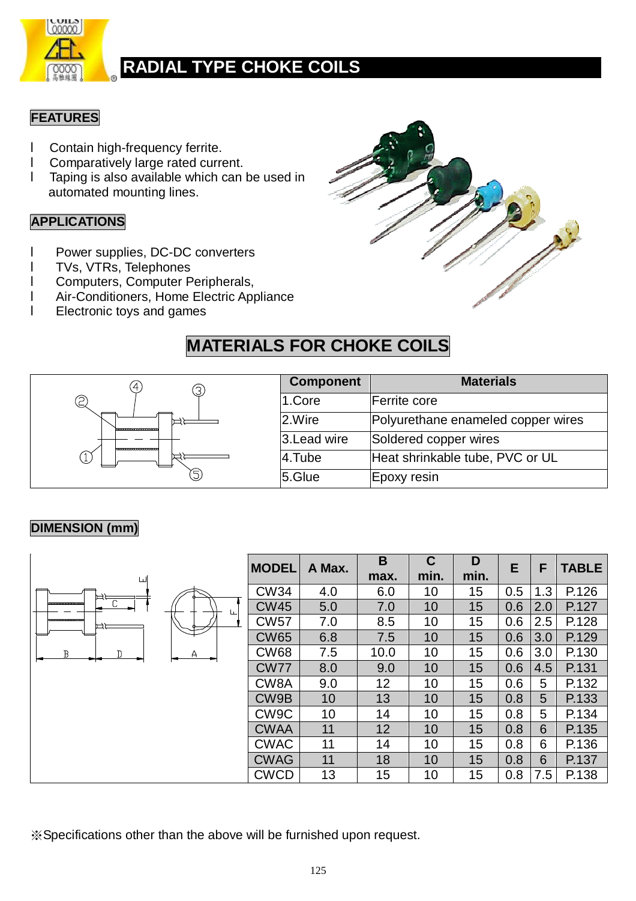

#### **FEATURES**

- l Contain high-frequency ferrite.
- l Comparatively large rated current.
- l Taping is also available which can be used in automated mounting lines.

#### **APPLICATIONS**

- l Power supplies, DC-DC converters
- l TVs, VTRs, Telephones
- l Computers, Computer Peripherals,
- l Air-Conditioners, Home Electric Appliance
- l Electronic toys and games



### **MATERIALS FOR CHOKE COILS**



| <b>Component</b> | <b>Materials</b>                   |
|------------------|------------------------------------|
| 1.Core           | Ferrite core                       |
| 2.Wire           | Polyurethane enameled copper wires |
| 3. Lead wire     | Soldered copper wires              |
| 4.Tube           | Heat shrinkable tube, PVC or UL    |
| 5.Glue           | Epoxy resin                        |

#### **DIMENSION (mm)**

| ய |         | <b>MODEL</b>      | A Max. | B<br>max.       | C<br>min. | D<br>min. | E   | F   | <b>TABLE</b> |
|---|---------|-------------------|--------|-----------------|-----------|-----------|-----|-----|--------------|
| 戸 |         | <b>CW34</b>       | 4.0    | 6.0             | 10        | 15        | 0.5 | 1.3 | P.126        |
|   | $\perp$ | <b>CW45</b>       | 5.0    | 7.0             | 10        | 15        | 0.6 | 2.0 | P.127        |
| 戸 |         | <b>CW57</b>       | 7.0    | 8.5             | 10        | 15        | 0.6 | 2.5 | P.128        |
|   |         | <b>CW65</b>       | 6.8    | 7.5             | 10        | 15        | 0.6 | 3.0 | P.129        |
| B | A       | <b>CW68</b>       | 7.5    | 10.0            | 10        | 15        | 0.6 | 3.0 | P.130        |
|   |         | <b>CW77</b>       | 8.0    | 9.0             | 10        | 15        | 0.6 | 4.5 | P.131        |
|   |         | CW <sub>8</sub> A | 9.0    | 12 <sub>2</sub> | 10        | 15        | 0.6 | 5   | P.132        |
|   |         | CW9B              | 10     | 13              | 10        | 15        | 0.8 | 5   | P.133        |
|   |         | CW <sub>9</sub> C | 10     | 14              | 10        | 15        | 0.8 | 5   | P.134        |
|   |         | <b>CWAA</b>       | 11     | 12              | 10        | 15        | 0.8 | 6   | P.135        |
|   |         | <b>CWAC</b>       | 11     | 14              | 10        | 15        | 0.8 | 6   | P.136        |
|   |         | <b>CWAG</b>       | 11     | 18              | 10        | 15        | 0.8 | 6   | P.137        |
|   |         | <b>CWCD</b>       | 13     | 15              | 10        | 15        | 0.8 | 7.5 | P.138        |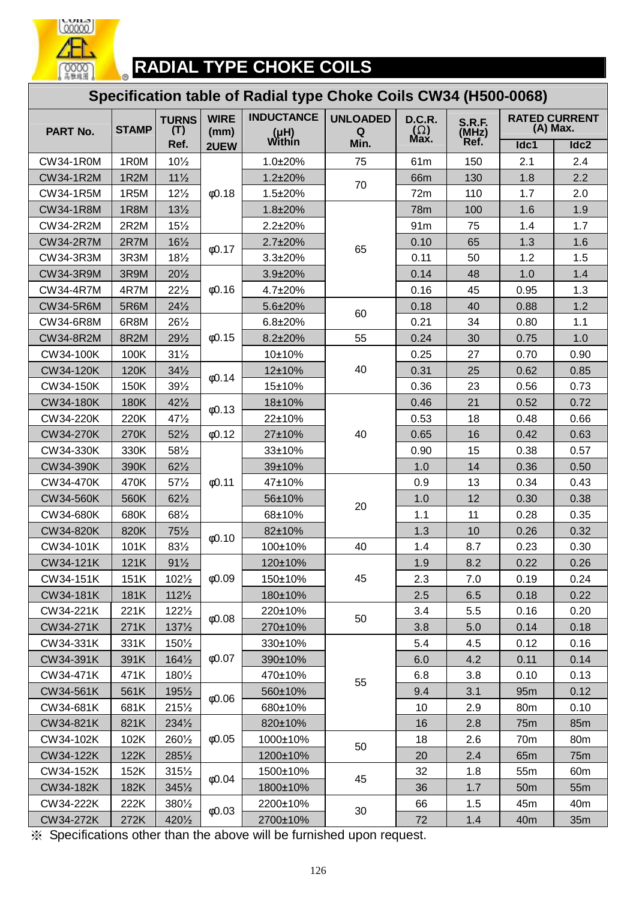

#### **RADIAL TYPE CHOKE COILS**   $\circ$

#### **Specification table of Radial type Choke Coils CW34 (H500-0068)**

| PART No.         | <b>STAMP</b>      | <b>TURNS</b><br>(T) | <b>WIRE</b><br>(mm) | <b>INDUCTANCE</b><br>(µH)<br>Within | <b>UNLOADED</b><br>Q | <b>D.C.R.</b><br>$(\Omega)$ | <b>S.R.F.</b><br>(MHz) |                 | <b>RATED CURRENT</b><br>(A) Max. |
|------------------|-------------------|---------------------|---------------------|-------------------------------------|----------------------|-----------------------------|------------------------|-----------------|----------------------------------|
|                  |                   | Ref.                | 2UEW                |                                     | Min.                 | Max.                        | Ref.                   | Idc1            | Idc2                             |
| <b>CW34-1R0M</b> | 1R0M              | $10\frac{1}{2}$     |                     | 1.0±20%                             | 75                   | 61m                         | 150                    | 2.1             | 2.4                              |
| <b>CW34-1R2M</b> | 1R <sub>2</sub> M | $11\frac{1}{2}$     |                     | $1.2 \pm 20\%$                      | 70                   | 66m                         | 130                    | 1.8             | 2.2                              |
| CW34-1R5M        | 1R5M              | $12\frac{1}{2}$     | 0.18                | $1.5 \pm 20\%$                      |                      | 72m                         | 110                    | 1.7             | 2.0                              |
| <b>CW34-1R8M</b> | 1R8M              | $13\frac{1}{2}$     |                     | 1.8±20%                             |                      | <b>78m</b>                  | 100                    | 1.6             | 1.9                              |
| CW34-2R2M        | 2R2M              | 15%                 |                     | $2.2 \pm 20\%$                      |                      | 91m                         | 75                     | 1.4             | 1.7                              |
| <b>CW34-2R7M</b> | 2R7M              | $16\frac{1}{2}$     | 0.17                | 2.7±20%                             | 65                   | 0.10                        | 65                     | 1.3             | 1.6                              |
| CW34-3R3M        | 3R3M              | $18\frac{1}{2}$     |                     | $3.3 \pm 20\%$                      |                      | 0.11                        | 50                     | 1.2             | 1.5                              |
| <b>CW34-3R9M</b> | 3R9M              | $20\frac{1}{2}$     |                     | 3.9±20%                             |                      | 0.14                        | 48                     | 1.0             | 1.4                              |
| <b>CW34-4R7M</b> | 4R7M              | $22\frac{1}{2}$     | 0.16                | 4.7±20%                             |                      | 0.16                        | 45                     | 0.95            | 1.3                              |
| <b>CW34-5R6M</b> | 5R6M              | $24\frac{1}{2}$     |                     | 5.6±20%                             | 60                   | 0.18                        | 40                     | 0.88            | 1.2                              |
| CW34-6R8M        | 6R8M              | 261/2               |                     | $6.8 + 20%$                         |                      | 0.21                        | 34                     | 0.80            | 1.1                              |
| <b>CW34-8R2M</b> | 8R2M              | $29\frac{1}{2}$     | 0.15                | 8.2±20%                             | 55                   | 0.24                        | 30                     | 0.75            | 1.0                              |
| CW34-100K        | 100K              | $31\frac{1}{2}$     |                     | 10±10%                              |                      | 0.25                        | 27                     | 0.70            | 0.90                             |
| CW34-120K        | 120K              | $34\frac{1}{2}$     | 0.14                | 12±10%                              | 40                   | 0.31                        | 25                     | 0.62            | 0.85                             |
| CW34-150K        | 150K              | $39\frac{1}{2}$     |                     | 15±10%                              |                      | 0.36                        | 23                     | 0.56            | 0.73                             |
| <b>CW34-180K</b> | <b>180K</b>       | $42\frac{1}{2}$     | 0.13                | 18±10%                              |                      | 0.46                        | 21                     | 0.52            | 0.72                             |
| CW34-220K        | 220K              | 47%                 |                     | 22±10%                              |                      | 0.53                        | 18                     | 0.48            | 0.66                             |
| <b>CW34-270K</b> | 270K              | $52\frac{1}{2}$     | 0.12                | 27±10%                              | 40                   | 0.65                        | 16                     | 0.42            | 0.63                             |
| CW34-330K        | 330K              | 581/2               |                     | 33±10%                              |                      | 0.90                        | 15                     | 0.38            | 0.57                             |
| CW34-390K        | 390K              | $62\frac{1}{2}$     |                     | 39±10%                              |                      | 1.0                         | 14                     | 0.36            | 0.50                             |
| CW34-470K        | 470K              | 57%                 | 0.11                | 47±10%                              | 20                   | 0.9                         | 13                     | 0.34            | 0.43                             |
| CW34-560K        | 560K              | $62\frac{1}{2}$     |                     | 56±10%                              |                      | 1.0                         | 12                     | 0.30            | 0.38                             |
| CW34-680K        | 680K              | 681/2               |                     | 68±10%                              |                      | 1.1                         | 11                     | 0.28            | 0.35                             |
| CW34-820K        | 820K              | 75%                 | 0.10                | 82±10%                              |                      | 1.3                         | 10                     | 0.26            | 0.32                             |
| CW34-101K        | 101K              | 831/2               |                     | 100±10%                             | 40                   | 1.4                         | 8.7                    | 0.23            | 0.30                             |
| CW34-121K        | 121K              | $91\frac{1}{2}$     |                     | 120±10%                             |                      | 1.9                         | 8.2                    | 0.22            | 0.26                             |
| CW34-151K        | 151K              | 1021/2              | 0.09                | 150±10%                             | 45                   | 2.3                         | 7.0                    | 0.19            | 0.24                             |
| CW34-181K        | 181K              | $112\frac{1}{2}$    |                     | 180±10%                             |                      | 2.5                         | 6.5                    | 0.18            | 0.22                             |
| CW34-221K        | 221K              | 1221/2              | 0.08                | 220±10%                             | 50                   | 3.4                         | 5.5                    | 0.16            | 0.20                             |
| CW34-271K        | 271K              | $137\frac{1}{2}$    |                     | 270±10%                             |                      | 3.8                         | 5.0                    | 0.14            | 0.18                             |
| CW34-331K        | 331K              | 1501/2              |                     | 330±10%                             |                      | 5.4                         | 4.5                    | 0.12            | 0.16                             |
| CW34-391K        | 391K              | $164\frac{1}{2}$    | $\phi$ 0.07         | 390±10%                             |                      | 6.0                         | 4.2                    | 0.11            | 0.14                             |
| CW34-471K        | 471K              | 1801/2              |                     | 470±10%                             | 55                   | 6.8                         | 3.8                    | 0.10            | 0.13                             |
| CW34-561K        | 561K              | $195\frac{1}{2}$    |                     | 560±10%                             |                      | 9.4                         | 3.1                    | 95m             | 0.12                             |
| CW34-681K        | 681K              | $215\frac{1}{2}$    | 0.06                | 680±10%                             |                      | 10                          | 2.9                    | 80 <sub>m</sub> | 0.10                             |
| CW34-821K        | 821K              | $234\frac{1}{2}$    |                     | 820±10%                             |                      | 16                          | 2.8                    | 75m             | 85 <sub>m</sub>                  |
| CW34-102K        | 102K              | 2601/2              | $\phi$ 0.05         | 1000±10%                            |                      | 18                          | 2.6                    | 70m             | 80m                              |
| CW34-122K        | 122K              | 2851/2              |                     | 1200±10%                            | 50                   | 20                          | 2.4                    | 65 <sub>m</sub> | 75 <sub>m</sub>                  |
| CW34-152K        | 152K              | $315\frac{1}{2}$    |                     | 1500±10%                            |                      | 32                          | 1.8                    | 55m             | 60 <sub>m</sub>                  |
| CW34-182K        | 182K              | $345\frac{1}{2}$    | $\phi$ 0.04         | 1800±10%                            | 45                   | 36                          | 1.7                    | 50 <sub>m</sub> | 55m                              |
| CW34-222K        | 222K              | 3801/2              |                     | 2200±10%                            |                      | 66                          | 1.5                    | 45m             | 40m                              |
| CW34-272K        | 272K              | 4201/2              | $\phi$ 0.03         | 2700±10%                            | 30                   | 72                          | 1.4                    | 40 <sub>m</sub> | 35m                              |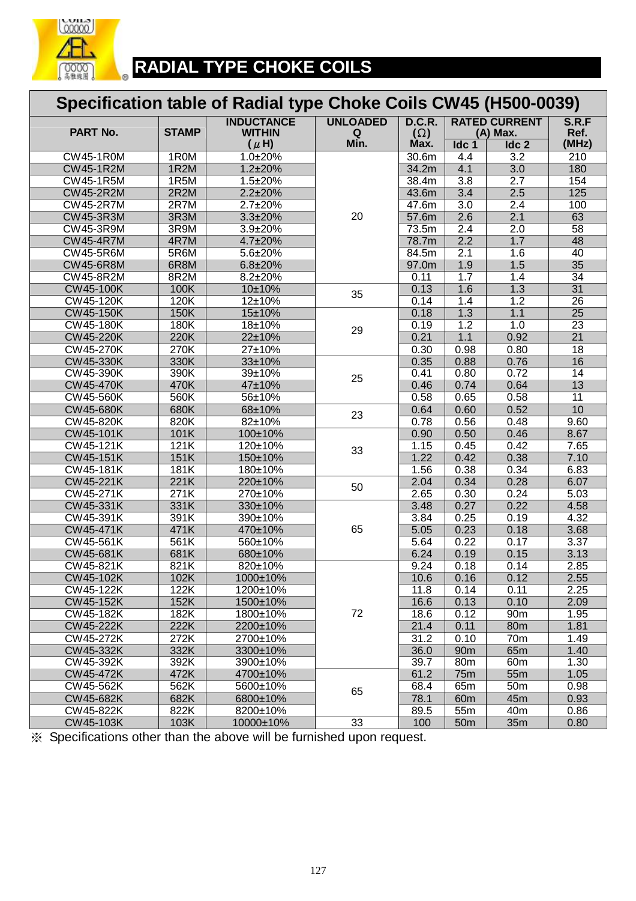

# **RADIAL TYPE CHOKE COILS**

|                                | Specification table of Radial type Choke Coils CW45 (H500-0039) |                                    |                 |                    |                  |                              |                                    |  |  |  |  |
|--------------------------------|-----------------------------------------------------------------|------------------------------------|-----------------|--------------------|------------------|------------------------------|------------------------------------|--|--|--|--|
| PART No.                       | <b>STAMP</b>                                                    | <b>INDUCTANCE</b><br><b>WITHIN</b> | <b>UNLOADED</b> | <b>D.C.R.</b>      |                  | <b>RATED CURRENT</b>         | S.R.F                              |  |  |  |  |
|                                |                                                                 | $(\mu H)$                          | Q<br>Min.       | $(\Omega)$<br>Max. | Idc 1            | (A) Max.<br>Idc <sub>2</sub> | Ref.<br>(MHz)                      |  |  |  |  |
| <b>CW45-1R0M</b>               | 1R0M                                                            | $1.0 + 20%$                        |                 | 30.6 <sub>m</sub>  | 4.4              | $\overline{3.2}$             | $\overline{210}$                   |  |  |  |  |
| <b>CW45-1R2M</b>               | 1R2M                                                            | $1.2 \pm 20\%$                     |                 | 34.2m              | 4.1              | $\overline{3.0}$             | 180                                |  |  |  |  |
| <b>CW45-1R5M</b>               | 1R5M                                                            | $1.5 \pm 20\%$                     |                 | 38.4m              | 3.8              | 2.7                          | 154                                |  |  |  |  |
| <b>CW45-2R2M</b>               | 2R2M                                                            | $2.2 \pm 20\%$                     |                 | 43.6m              | 3.4              | 2.5                          | 125                                |  |  |  |  |
| <b>CW45-2R7M</b>               | 2R7M                                                            | 2.7±20%                            |                 | 47.6m              | 3.0              | 2.4                          | 100                                |  |  |  |  |
| CW45-3R3M                      | 3R3M                                                            | 3.3±20%                            | 20              | 57.6m              | 2.6              | 2.1                          | 63                                 |  |  |  |  |
| <b>CW45-3R9M</b>               | 3R9M                                                            | 3.9±20%                            |                 | 73.5m              | $\overline{2.4}$ | 2.0                          | 58                                 |  |  |  |  |
| <b>CW45-4R7M</b>               | 4R7M                                                            | 4.7±20%                            |                 | 78.7m              | $\overline{2.2}$ | 1.7                          | 48                                 |  |  |  |  |
| <b>CW45-5R6M</b>               | 5R6M                                                            | 5.6±20%                            |                 | 84.5m              | $\overline{2.1}$ | 1.6                          | 40                                 |  |  |  |  |
| <b>CW45-6R8M</b>               | 6R8M                                                            | $6.8 \pm 20\%$                     |                 | 97.0m              | 1.9              | 1.5                          | 35                                 |  |  |  |  |
| <b>CW45-8R2M</b>               | 8R2M                                                            | 8.2±20%                            |                 | 0.11               | 1.7              | 1.4                          | 34                                 |  |  |  |  |
| CW45-100K                      | 100K                                                            | 10±10%                             |                 | 0.13               | 1.6              | 1.3                          | $\overline{31}$                    |  |  |  |  |
|                                |                                                                 |                                    | 35              |                    |                  |                              |                                    |  |  |  |  |
| CW45-120K<br><b>CW45-150K</b>  | 120K                                                            | 12±10%                             |                 | 0.14               | 1.4              | 1.2<br>1.1                   | 26<br>$\overline{25}$              |  |  |  |  |
|                                | 150K                                                            | 15±10%                             |                 | 0.18               | 1.3              |                              |                                    |  |  |  |  |
| <b>CW45-180K</b>               | 180K                                                            | 18±10%                             | 29              | 0.19               | 1.2              | 1.0                          | $\overline{23}$<br>$\overline{21}$ |  |  |  |  |
| <b>CW45-220K</b>               | 220K                                                            | 22±10%                             |                 | 0.21               | 1.1              | 0.92                         |                                    |  |  |  |  |
| <b>CW45-270K</b>               | 270K                                                            | 27±10%                             |                 | 0.30               | 0.98             | 0.80                         | $\overline{18}$                    |  |  |  |  |
| <b>CW45-330K</b>               | 330K                                                            | 33±10%                             |                 | 0.35               | 0.88             | 0.76                         | 16                                 |  |  |  |  |
| CW45-390K                      | 390K                                                            | 39±10%                             | 25              | 0.41               | 0.80             | 0.72                         | 14                                 |  |  |  |  |
| <b>CW45-470K</b>               | 470K                                                            | 47±10%                             |                 | 0.46               | 0.74             | 0.64                         | 13                                 |  |  |  |  |
| <b>CW45-560K</b>               | 560K                                                            | 56±10%                             |                 | 0.58               | 0.65             | 0.58                         | $\overline{11}$                    |  |  |  |  |
| CW45-680K                      | 680K                                                            | 68±10%                             | 23              | 0.64               | 0.60             | 0.52                         | 10                                 |  |  |  |  |
| $\overline{\text{CW45-82}}$ OK | 820K                                                            | 82±10%                             |                 | 0.78               | 0.56             | 0.48                         | 9.60                               |  |  |  |  |
| <b>CW45-101K</b>               | 101K                                                            | 100±10%                            |                 | 0.90               | 0.50             | 0.46                         | 8.67                               |  |  |  |  |
| <b>CW45-121K</b>               | 121K                                                            | 120±10%                            | 33              | 1.15               | 0.45             | 0.42                         | 7.65                               |  |  |  |  |
| <b>CW45-151K</b>               | 151K                                                            | 150±10%                            |                 | 1.22               | 0.42             | 0.38                         | 7.10                               |  |  |  |  |
| CW45-181K                      | 181K                                                            | 180±10%                            |                 | 1.56               | 0.38             | 0.34                         | 6.83                               |  |  |  |  |
| CW45-221K                      | 221K                                                            | 220±10%                            | 50              | 2.04               | 0.34             | 0.28                         | 6.07                               |  |  |  |  |
| <b>CW45-271K</b>               | 271K                                                            | 270±10%                            |                 | 2.65               | 0.30             | 0.24                         | 5.03                               |  |  |  |  |
| CW45-331K                      | 331K                                                            | 330±10%                            |                 | 3.48               | 0.27             | 0.22                         | 4.58                               |  |  |  |  |
| CW45-391K                      | 391K                                                            | 390±10%                            |                 | 3.84               | 0.25             | 0.19                         | 4.32                               |  |  |  |  |
| CW45-471K                      | 471K                                                            | 470±10%                            | 65              | 5.05               | 0.23             | 0.18                         | 3.68                               |  |  |  |  |
| <b>CW45-561K</b>               | 561K                                                            | 560±10%                            |                 | 5.64               | 0.22             | 0.17                         | 3.37                               |  |  |  |  |
| CW45-681K                      | 681K                                                            | 680±10%                            |                 | 6.24               | 0.19             | 0.15                         | 3.13                               |  |  |  |  |
| CW45-821K                      | 821K                                                            | 820±10%                            |                 | 9.24               | 0.18             | 0.14                         | 2.85                               |  |  |  |  |
| CW45-102K                      | 102K                                                            | 1000±10%                           |                 | 10.6               | 0.16             | 0.12                         | 2.55                               |  |  |  |  |
| <b>CW45-122K</b>               | 122K                                                            | 1200±10%                           |                 | 11.8               | 0.14             | 0.11                         | 2.25                               |  |  |  |  |
| CW45-152K                      | 152K                                                            | 1500±10%                           |                 | 16.6               | 0.13             | 0.10                         | 2.09                               |  |  |  |  |
| CW45-182K                      | 182K                                                            | 1800±10%                           | 72              | 18.6               | 0.12             | 90 <sub>m</sub>              | 1.95                               |  |  |  |  |
| CW45-222K                      | 222K                                                            | 2200±10%                           |                 | 21.4               | 0.11             | 80m                          | 1.81                               |  |  |  |  |
| CW45-272K                      | 272K                                                            | 2700±10%                           |                 | 31.2               | 0.10             | 70 <sub>m</sub>              | 1.49                               |  |  |  |  |
| CW45-332K                      | 332K                                                            | 3300±10%                           |                 | 36.0               | 90 <sub>m</sub>  | 65m                          | 1.40                               |  |  |  |  |
| CW45-392K                      | 392K                                                            | 3900±10%                           |                 | 39.7               | 80m              | 60 <sub>m</sub>              | 1.30                               |  |  |  |  |
| CW45-472K                      | 472K                                                            | 4700±10%                           |                 | 61.2               | <b>75m</b>       | 55m                          | 1.05                               |  |  |  |  |
| CW45-562K                      | 562K                                                            | 5600±10%                           | 65              | 68.4               | 65m              | 50 <sub>m</sub>              | 0.98                               |  |  |  |  |
| CW45-682K                      | 682K                                                            | 6800±10%                           |                 | 78.1               | 60 <sub>m</sub>  | 45m                          | 0.93                               |  |  |  |  |
| CW45-822K                      | 822K                                                            | 8200±10%                           |                 | 89.5               | 55m              | 40m                          | 0.86                               |  |  |  |  |
| CW45-103K                      | 103K                                                            | 10000±10%                          | 33              | 100                | 50 <sub>m</sub>  | 35m                          | 0.80                               |  |  |  |  |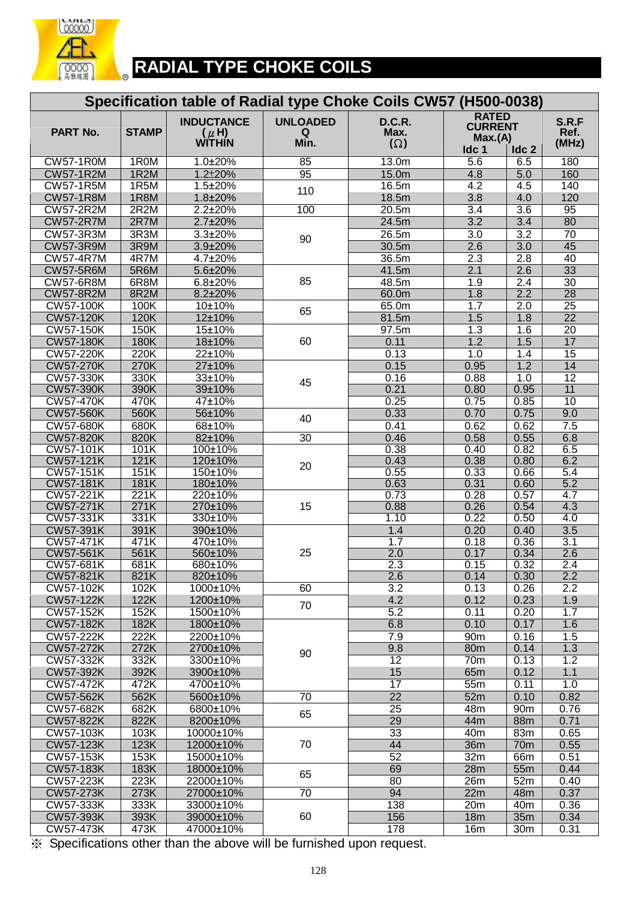

 $\bullet$ 

# **RADIAL TYPE CHOKE COILS**

| Specification table of Radial type Choke Coils CW57 (H500-0038) |              |                                                 |                              |                              |                                                               |                  |                        |  |  |  |
|-----------------------------------------------------------------|--------------|-------------------------------------------------|------------------------------|------------------------------|---------------------------------------------------------------|------------------|------------------------|--|--|--|
| PART No.                                                        | <b>STAMP</b> | <b>INDUCTANCE</b><br>$(\mu H)$<br><b>WITHIN</b> | <b>UNLOADED</b><br>Q<br>Min. | D.C.R.<br>Max.<br>$(\Omega)$ | <b>RATED</b><br><b>CURRENT</b><br>Max.(A)<br>Idc <sub>1</sub> | Idc <sub>2</sub> | S.R.F<br>Ref.<br>(MHz) |  |  |  |
| <b>CW57-1R0M</b>                                                | 1R0M         | $1.0 \pm 20\%$                                  | 85                           | 13.0 <sub>m</sub>            | $\overline{5.6}$                                              | 6.5              | 180                    |  |  |  |
| <b>CW57-1R2M</b>                                                | 1R2M         | $1.2 \pm 20\%$                                  | 95                           | 15.0m                        | 4.8                                                           | 5.0              | 160                    |  |  |  |
| <b>CW57-1R5M</b>                                                | 1R5M         | $1.5 \pm 20\%$                                  | 110                          | 16.5m                        | $\overline{4.2}$                                              | 4.5              | 140                    |  |  |  |
| <b>CW57-1R8M</b>                                                | 1R8M         | 1.8±20%                                         |                              | 18.5m                        | 3.8                                                           | 4.0              | 120                    |  |  |  |
| <b>CW57-2R2M</b>                                                | 2R2M         | 2.2±20%                                         | 100                          | 20.5m                        | 3.4                                                           | $\overline{3.6}$ | 95                     |  |  |  |
| <b>CW57-2R7M</b>                                                | 2R7M         | 2.7±20%                                         |                              | 24.5m                        | 3.2                                                           | $\overline{3.4}$ | 80                     |  |  |  |
| <b>CW57-3R3M</b>                                                | 3R3M         | 3.3±20%                                         | 90                           | 26.5m                        | 3.0                                                           | $\overline{3.2}$ | 70                     |  |  |  |
| <b>CW57-3R9M</b>                                                | 3R9M         | 3.9±20%                                         |                              | 30.5m                        | 2.6                                                           | $\overline{3.0}$ | 45                     |  |  |  |
| <b>CW57-4R7M</b>                                                | 4R7M         | 4.7±20%                                         |                              | 36.5m                        | 2.3                                                           | 2.8              | 40                     |  |  |  |
| <b>CW57-5R6M</b>                                                | 5R6M         | 5.6±20%                                         |                              | 41.5m                        | 2.1                                                           | 2.6              | 33                     |  |  |  |
| <b>CW57-6R8M</b>                                                | 6R8M         | $6.8 + 20%$                                     | 85                           | 48.5m                        | 1.9                                                           | $\overline{2.4}$ | $\overline{30}$        |  |  |  |
| <b>CW57-8R2M</b>                                                | 8R2M         | 8.2±20%                                         |                              | 60.0m                        | 1.8                                                           | 2.2              | 28                     |  |  |  |
| <b>CW57-100K</b>                                                | 100K         | 10±10%                                          | 65                           | 65.0m                        | $1.\overline{7}$                                              | 2.0              | $\overline{25}$        |  |  |  |
| <b>CW57-120K</b>                                                | 120K         | 12±10%                                          |                              | 81.5m                        | 1.5                                                           | 1.8              | $\overline{22}$        |  |  |  |
| <b>CW57-150K</b>                                                | 150K         | 15±10%                                          |                              | 97.5m                        | $\overline{1.3}$                                              | 1.6              | $\overline{20}$        |  |  |  |
| <b>CW57-180K</b>                                                | 180K         | 18±10%                                          | 60                           | 0.11                         | 1.2                                                           | 1.5              | 17                     |  |  |  |
| <b>CW57-220K</b>                                                | 220K         | 22±10%                                          |                              | 0.13                         | 1.0                                                           | 1.4              | 15                     |  |  |  |
| <b>CW57-270K</b>                                                | 270K         | 27±10%                                          |                              | 0.15                         | 0.95                                                          | 1.2              | 14                     |  |  |  |
| <b>CW57-330K</b>                                                | 330K         | 33±10%                                          | 45                           | 0.16                         | 0.88                                                          | 1.0              | $\overline{12}$        |  |  |  |
| <b>CW57-390K</b><br><b>CW57-470K</b>                            | 390K<br>470K | 39±10%<br>47±10%                                |                              | 0.21<br>0.25                 | 0.80<br>0.75                                                  | 0.95             | 11<br>10               |  |  |  |
|                                                                 | 560K         |                                                 |                              | 0.33                         | 0.70                                                          | 0.85             |                        |  |  |  |
| <b>CW57-560K</b><br><b>CW57-680K</b>                            | 680K         | 56±10%<br>68±10%                                | 40                           | 0.41                         | 0.62                                                          | 0.75<br>0.62     | 9.0<br>7.5             |  |  |  |
| <b>CW57-820K</b>                                                | 820K         | 82±10%                                          | 30                           | 0.46                         | 0.58                                                          | 0.55             | 6.8                    |  |  |  |
| <b>CW57-101K</b>                                                | 101K         | 100±10%                                         |                              | 0.38                         | 0.40                                                          | 0.82             | 6.5                    |  |  |  |
| <b>CW57-121K</b>                                                | 121K         | 120±10%                                         |                              | 0.43                         | 0.38                                                          | 0.80             | 6.2                    |  |  |  |
| <b>CW57-151K</b>                                                | 151K         | 150±10%                                         | 20                           | 0.55                         | 0.33                                                          | 0.66             | 5.4                    |  |  |  |
| <b>CW57-181K</b>                                                | <b>181K</b>  | 180±10%                                         |                              | 0.63                         | 0.31                                                          | 0.60             | 5.2                    |  |  |  |
| <b>CW57-221K</b>                                                | 221K         | 220±10%                                         |                              | 0.73                         | 0.28                                                          | 0.57             | $\overline{4.7}$       |  |  |  |
| <b>CW57-271K</b>                                                | 271K         | 270±10%                                         | 15                           | 0.88                         | 0.26                                                          | 0.54             | 4.3                    |  |  |  |
| <b>CW57-331K</b>                                                | 331K         | 330±10%                                         |                              | 1.10                         | 0.22                                                          | 0.50             | 4.0                    |  |  |  |
| <b>CW57-391K</b>                                                | 391K         | 390±10%                                         |                              | 1.4                          | 0.20                                                          | 0.40             | $\overline{3.5}$       |  |  |  |
| <b>CW57-471K</b>                                                | 471K         | 470±10%                                         |                              | 1.7                          | 0.18                                                          | 0.36             | $\overline{3.1}$       |  |  |  |
| <b>CW57-561K</b>                                                | 561K         | 560±10%                                         | 25                           | $\overline{2.0}$             | 0.17                                                          | 0.34             | $\overline{2.6}$       |  |  |  |
| <b>CW57-681K</b>                                                | 681K         | 680±10%                                         |                              | 2.3                          | 0.15                                                          | 0.32             | 2.4                    |  |  |  |
| CW57-821K                                                       | 821K         | 820±10%                                         |                              | 2.6                          | 0.14                                                          | 0.30             | $2.2\,$                |  |  |  |
| CW57-102K                                                       | 102K         | 1000±10%                                        | 60                           | 3.2                          | 0.13                                                          | 0.26             | 2.2                    |  |  |  |
| <b>CW57-122K</b>                                                | 122K         | 1200±10%                                        | 70                           | 4.2                          | 0.12                                                          | 0.23             | 1.9                    |  |  |  |
| CW57-152K                                                       | 152K         | 1500±10%                                        |                              | $\overline{5.2}$             | 0.11                                                          | 0.20             | 1.7                    |  |  |  |
| <b>CW57-182K</b>                                                | 182K         | 1800±10%                                        |                              | 6.8                          | 0.10                                                          | 0.17             | 1.6                    |  |  |  |
| <b>CW57-222K</b><br><b>CW57-272K</b>                            | 222K<br>272K | 2200±10%                                        |                              | 7.9                          | 90 <sub>m</sub>                                               | 0.16             | 1.5<br>1.3             |  |  |  |
| CW57-332K                                                       | 332K         | 2700±10%<br>3300±10%                            | 90                           | 9.8<br>12                    | 80m<br>70m                                                    | 0.14<br>0.13     | 1.2                    |  |  |  |
| CW57-392K                                                       | 392K         | 3900±10%                                        |                              | 15                           | 65m                                                           | 0.12             | 1.1                    |  |  |  |
| CW57-472K                                                       | 472K         | 4700±10%                                        |                              | 17                           | 55m                                                           | 0.11             | 1.0                    |  |  |  |
| <b>CW57-562K</b>                                                | 562K         | 5600±10%                                        | $\overline{70}$              | $\overline{22}$              | 52m                                                           | 0.10             | 0.82                   |  |  |  |
| CW57-682K                                                       | 682K         | 6800±10%                                        |                              | $\overline{25}$              | 48m                                                           | 90 <sub>m</sub>  | 0.76                   |  |  |  |
| <b>CW57-822K</b>                                                | 822K         | 8200±10%                                        | 65                           | 29                           | 44m                                                           | 88m              | 0.71                   |  |  |  |
| <b>CW57-103K</b>                                                | 103K         | 10000±10%                                       |                              | $\overline{33}$              | 40 <sub>m</sub>                                               | 83m              | 0.65                   |  |  |  |
| <b>CW57-123K</b>                                                | 123K         | 12000±10%                                       | 70                           | 44                           | 36m                                                           | 70 <sub>m</sub>  | 0.55                   |  |  |  |
| <b>CW57-153K</b>                                                | 153K         | 15000±10%                                       |                              | 52                           | 32m                                                           | 66m              | 0.51                   |  |  |  |
| <b>CW57-183K</b>                                                | 183K         | 18000±10%                                       |                              | 69                           | 28m                                                           | 55m              | 0.44                   |  |  |  |
| CW57-223K                                                       | 223K         | 22000±10%                                       | 65                           | 80                           | 26m                                                           | 52m              | 0.40                   |  |  |  |
| <b>CW57-273K</b>                                                | 273K         | 27000±10%                                       | 70                           | 94                           | 22m                                                           | 48m              | 0.37                   |  |  |  |
| CW57-333K                                                       | 333K         | 33000±10%                                       |                              | 138                          | 20m                                                           | 40 <sub>m</sub>  | 0.36                   |  |  |  |
| CW57-393K                                                       | 393K         | 39000±10%                                       | 60                           | 156                          | <b>18m</b>                                                    | 35m              | 0.34                   |  |  |  |
| <b>CW57-473K</b>                                                | 473K         | 47000±10%                                       |                              | 178                          | 16m                                                           | 30 <sub>m</sub>  | 0.31                   |  |  |  |
|                                                                 |              |                                                 |                              |                              |                                                               |                  |                        |  |  |  |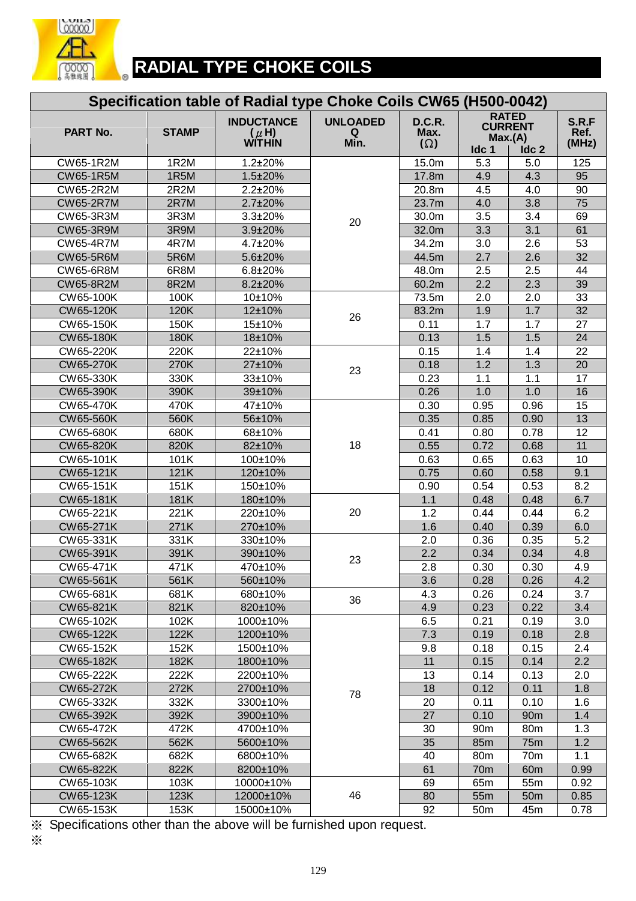

 $\circ$ 

# **RADIAL TYPE CHOKE COILS**

|                  |              | Specification table of Radial type Choke Coils CW65 (H500-0042) |                              |                              |                 |                                                    |                        |
|------------------|--------------|-----------------------------------------------------------------|------------------------------|------------------------------|-----------------|----------------------------------------------------|------------------------|
| PART No.         | <b>STAMP</b> | <b>INDUCTANCE</b><br>$(\mu H)$<br>WITHIN                        | <b>UNLOADED</b><br>Q<br>Min. | D.C.R.<br>Max.<br>$(\Omega)$ | Idc 1           | <b>RATED</b><br><b>CURRENT</b><br>Max.(A)<br>Idc 2 | S.R.F<br>Ref.<br>(MHz) |
| CW65-1R2M        | 1R2M         | 1.2±20%                                                         |                              | 15.0m                        | 5.3             | 5.0                                                | 125                    |
| <b>CW65-1R5M</b> | 1R5M         | 1.5±20%                                                         |                              | 17.8m                        | 4.9             | 4.3                                                | 95                     |
| CW65-2R2M        | 2R2M         | $2.2 \pm 20\%$                                                  |                              | 20.8m                        | 4.5             | 4.0                                                | 90                     |
| <b>CW65-2R7M</b> | 2R7M         | 2.7±20%                                                         |                              | 23.7m                        | 4.0             | 3.8                                                | 75                     |
| CW65-3R3M        | 3R3M         | 3.3±20%                                                         |                              | 30.0m                        | 3.5             | 3.4                                                | 69                     |
| <b>CW65-3R9M</b> | 3R9M         | 3.9±20%                                                         | 20                           | 32.0m                        | 3.3             | 3.1                                                | 61                     |
| <b>CW65-4R7M</b> | 4R7M         | 4.7±20%                                                         |                              | 34.2m                        | 3.0             | 2.6                                                | 53                     |
| <b>CW65-5R6M</b> | 5R6M         | 5.6±20%                                                         |                              | 44.5m                        | 2.7             | 2.6                                                | 32                     |
| <b>CW65-6R8M</b> | 6R8M         | $6.8 + 20%$                                                     |                              | 48.0m                        | 2.5             | 2.5                                                | 44                     |
| <b>CW65-8R2M</b> | 8R2M         | 8.2±20%                                                         |                              | 60.2m                        | 2.2             | 2.3                                                | 39                     |
| CW65-100K        | 100K         | 10±10%                                                          |                              | 73.5m                        | 2.0             | 2.0                                                | $\overline{33}$        |
| CW65-120K        | 120K         | 12±10%                                                          | 26                           | 83.2m                        | 1.9             | 1.7                                                | 32                     |
| CW65-150K        | 150K         | 15±10%                                                          |                              | 0.11                         | 1.7             | 1.7                                                | 27                     |
| <b>CW65-180K</b> | 180K         | 18±10%                                                          |                              | 0.13                         | 1.5             | 1.5                                                | 24                     |
| CW65-220K        | 220K         | 22±10%                                                          |                              | 0.15                         | 1.4             | 1.4                                                | 22                     |
| <b>CW65-270K</b> | 270K         | 27±10%                                                          | 23                           | 0.18                         | 1.2             | 1.3                                                | 20                     |
| CW65-330K        | 330K         | 33±10%                                                          |                              | 0.23                         | 1.1             | 1.1                                                | 17                     |
| CW65-390K        | 390K         | 39±10%                                                          |                              | 0.26                         | 1.0             | 1.0                                                | 16                     |
| CW65-470K        | 470K         | 47±10%                                                          |                              | 0.30                         | 0.95            | 0.96                                               | 15                     |
| <b>CW65-560K</b> | 560K         | 56±10%                                                          |                              | 0.35                         | 0.85            | 0.90                                               | 13                     |
| CW65-680K        | 680K         | 68±10%                                                          |                              | 0.41                         | 0.80            | 0.78                                               | $\overline{12}$        |
| CW65-820K        | 820K         | 82±10%                                                          | 18                           | 0.55                         | 0.72            | 0.68                                               | 11                     |
| CW65-101K        | 101K         | 100±10%                                                         |                              | 0.63                         | 0.65            | 0.63                                               | 10                     |
| CW65-121K        | 121K         | 120±10%                                                         |                              | 0.75                         | 0.60            | 0.58                                               | 9.1                    |
| CW65-151K        | 151K         | 150±10%                                                         |                              | 0.90                         | 0.54            | 0.53                                               | 8.2                    |
| CW65-181K        | 181K         | 180±10%                                                         |                              | 1.1                          | 0.48            | 0.48                                               | 6.7                    |
| CW65-221K        | 221K         | 220±10%                                                         | 20                           | 1.2                          | 0.44            | 0.44                                               | 6.2                    |
| CW65-271K        | 271K         | 270±10%                                                         |                              | 1.6                          | 0.40            | 0.39                                               | 6.0                    |
| CW65-331K        | 331K         | 330±10%                                                         |                              | 2.0                          | 0.36            | 0.35                                               | 5.2                    |
| CW65-391K        | 391K         | 390±10%                                                         | 23                           | 2.2                          | 0.34            | 0.34                                               | 4.8                    |
| CW65-471K        | 471K         | 470±10%                                                         |                              | 2.8                          | 0.30            | 0.30                                               | 4.9                    |
| CW65-561K        | 561K         | 560±10%                                                         |                              | 3.6                          | 0.28            | 0.26                                               | 4.2                    |
| CW65-681K        | 681K         | 680±10%                                                         | 36                           | 4.3                          | 0.26            | 0.24                                               | 3.7                    |
| CW65-821K        | 821K         | 820±10%                                                         |                              | 4.9                          | 0.23            | 0.22                                               | 3.4                    |
| CW65-102K        | 102K         | 1000±10%                                                        |                              | 6.5                          | 0.21            | 0.19                                               | 3.0                    |
| CW65-122K        | 122K         | 1200±10%                                                        |                              | 7.3                          | 0.19            | 0.18                                               | 2.8                    |
| CW65-152K        | 152K         | 1500±10%                                                        |                              | 9.8                          | 0.18            | 0.15                                               | 2.4                    |
| CW65-182K        | 182K         | 1800±10%                                                        |                              | 11                           | 0.15            | 0.14                                               | 2.2                    |
| CW65-222K        | 222K         | 2200±10%                                                        |                              | 13                           | 0.14            | 0.13                                               | 2.0                    |
| CW65-272K        | 272K         | 2700±10%                                                        | 78                           | 18                           | 0.12            | 0.11                                               | 1.8                    |
| CW65-332K        | 332K         | 3300±10%                                                        |                              | 20                           | 0.11            | 0.10                                               | 1.6                    |
| CW65-392K        | 392K         | 3900±10%                                                        |                              | 27                           | 0.10            | 90m                                                | 1.4                    |
| CW65-472K        | 472K         | 4700±10%                                                        |                              | 30                           | 90 <sub>m</sub> | 80m                                                | 1.3                    |
| <b>CW65-562K</b> | 562K         | 5600±10%                                                        |                              | 35                           | 85m             | <b>75m</b>                                         | 1.2                    |
| CW65-682K        | 682K         | 6800±10%                                                        |                              | 40                           | 80m             | 70 <sub>m</sub>                                    | 1.1                    |
| CW65-822K        | 822K         | 8200±10%                                                        |                              | 61                           | 70 <sub>m</sub> | 60 <sub>m</sub>                                    | 0.99                   |
| CW65-103K        | 103K         | 10000±10%                                                       |                              | 69                           | 65m             | 55m                                                | 0.92                   |
| CW65-123K        | 123K         | 12000±10%                                                       | 46                           | 80                           | 55m             | 50 <sub>m</sub>                                    | 0.85                   |
| CW65-153K        | 153K         | 15000±10%                                                       |                              | 92                           | 50 <sub>m</sub> | 45m                                                | 0.78                   |

※ Specifications other than the above will be furnished upon request.

※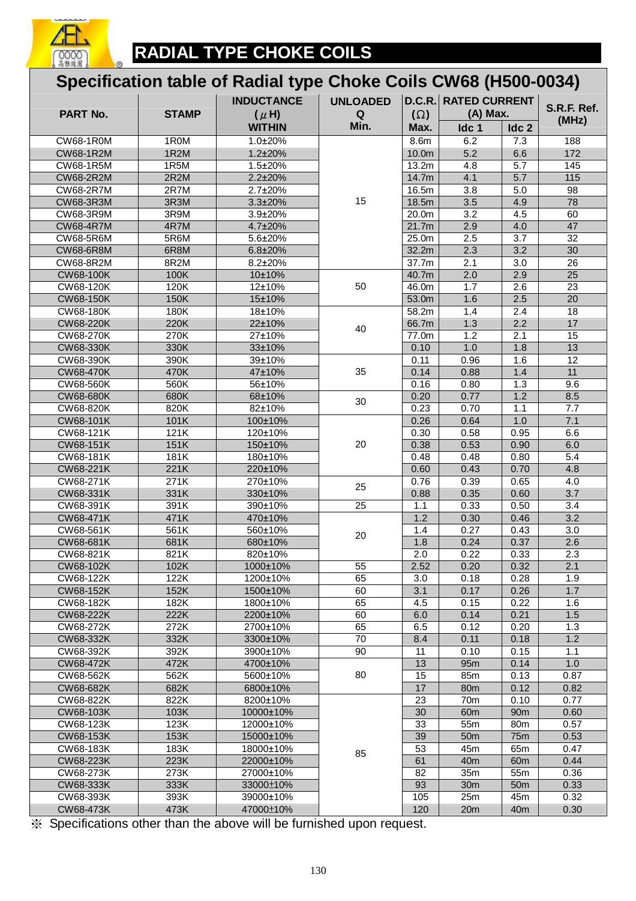

## **Specification table of Radial type Choke Coils CW68 (H500-0034)**

| <b>INDUCTANCE</b>             |              | <b>UNLOADED</b>     | D.C.R.<br><b>RATED CURRENT</b> |                |                  |                  |                      |
|-------------------------------|--------------|---------------------|--------------------------------|----------------|------------------|------------------|----------------------|
| PART No.                      | <b>STAMP</b> | $(\mu H)$           | Q                              | $(\Omega)$     | (A) Max.         |                  | S.R.F. Ref.<br>(MHz) |
|                               |              | <b>WITHIN</b>       | Min.                           | Max.           | Idc 1            | Idc <sub>2</sub> |                      |
| <b>CW68-1R0M</b>              | 1R0M         | 1.0±20%             |                                | 8.6m           | 6.2              | 7.3              | 188                  |
| <b>CW68-1R2M</b>              | 1R2M         | $1.2 \pm 20\%$      |                                | 10.0m          | 5.2              | 6.6              | 172                  |
| CW68-1R5M                     | 1R5M         | 1.5±20%             |                                | 13.2m          | 4.8              | $\overline{5.7}$ | 145                  |
| <b>CW68-2R2M</b>              | 2R2M         | 2.2±20%             |                                | 14.7m          | 4.1              | 5.7              | 115                  |
| <b>CW68-2R7M</b>              | 2R7M         | 2.7±20%             |                                | 16.5m          | 3.8              | 5.0              | 98                   |
| CW68-3R3M                     | 3R3M         | 3.3±20%             | 15                             | 18.5m          | 3.5              | 4.9              | 78                   |
| CW68-3R9M                     | 3R9M         | 3.9±20%             |                                | 20.0m          | $\overline{3.2}$ | 4.5              | 60                   |
| <b>CW68-4R7M</b>              | 4R7M         | 4.7±20%             |                                | 21.7m          | 2.9              | 4.0              | 47                   |
| <b>CW68-5R6M</b>              | 5R6M         | 5.6±20%             |                                | 25.0m          | 2.5              | $\overline{3.7}$ | 32                   |
| <b>CW68-6R8M</b>              | 6R8M         | 6.8±20%             |                                | 32.2m          | 2.3              | 3.2              | 30                   |
| CW68-8R2M                     | 8R2M         | 8.2±20%             |                                | 37.7m          | 2.1              | 3.0              | 26                   |
| <b>CW68-100K</b><br>CW68-120K | 100K<br>120K | 10±10%<br>12±10%    | 50                             | 40.7m<br>46.0m | 2.0<br>1.7       | 2.9<br>2.6       | 25<br>23             |
| <b>CW68-150K</b>              | 150K         | 15±10%              |                                | 53.0m          | 1.6              | 2.5              | 20                   |
| CW68-180K                     | 180K         | 18±10%              |                                | 58.2m          | 1.4              | 2.4              | 18                   |
| <b>CW68-220K</b>              | 220K         | 22±10%              |                                | 66.7m          | 1.3              | 2.2              | 17                   |
| CW68-270K                     | 270K         | 27±10%              | 40                             | 77.0m          | $\overline{1.2}$ | $\overline{2.1}$ | $\overline{15}$      |
| CW68-330K                     | 330K         | 33±10%              |                                | 0.10           | 1.0              | 1.8              | 13                   |
| CW68-390K                     | 390K         | 39±10%              |                                | 0.11           | 0.96             | 1.6              | 12                   |
| <b>CW68-470K</b>              | 470K         | 47±10%              | 35                             | 0.14           | 0.88             | 1.4              | 11                   |
| CW68-560K                     | 560K         | 56±10%              |                                | 0.16           | 0.80             | 1.3              | 9.6                  |
| <b>CW68-680K</b>              | 680K         | 68±10%              |                                | 0.20           | 0.77             | 1.2              | 8.5                  |
| CW68-820K                     | 820K         | 82±10%              | 30                             | 0.23           | 0.70             | 1.1              | 7.7                  |
| CW68-101K                     | 101K         | 100±10%             |                                | 0.26           | 0.64             | 1.0              | 7.1                  |
| CW68-121K                     | 121K         | 120±10%             |                                | 0.30           | 0.58             | 0.95             | 6.6                  |
| CW68-151K                     | 151K         | 150±10%             | 20                             | 0.38           | 0.53             | 0.90             | 6.0                  |
| <b>CW68-181K</b>              | 181K         | 180±10%             |                                | 0.48           | 0.48             | 0.80             | $\overline{5.4}$     |
| CW68-221K                     | 221K         | 220±10%             |                                | 0.60           | 0.43             | 0.70             | 4.8                  |
| CW68-271K                     | 271K         | 270±10%             | 25                             | 0.76           | 0.39             | 0.65             | 4.0                  |
| CW68-331K                     | 331K         | 330±10%             |                                | 0.88           | 0.35             | 0.60             | 3.7                  |
| CW68-391K                     | 391K         | 390±10%             | $\overline{25}$                | 1.1            | 0.33             | 0.50             | 3.4                  |
| CW68-471K                     | 471K         | 470±10%             |                                | 1.2            | 0.30             | 0.46             | 3.2                  |
| CW68-561K                     | 561K         | 560±10%             | 20                             | 1.4            | 0.27             | 0.43             | 3.0                  |
| CW68-681K<br>CW68-821K        | 681K<br>821K | 680±10%             |                                | 1.8            | 0.24<br>0.22     | 0.37             | 2.6                  |
| CW68-102K                     | 102K         | 820±10%<br>1000±10% | $\overline{55}$                | 2.0<br>2.52    | 0.20             | 0.33<br>0.32     | 2.3<br>2.1           |
| CW68-122K                     | 122K         | 1200±10%            | 65                             | 3.0            | 0.18             | 0.28             | 1.9                  |
| CW68-152K                     | 152K         | 1500±10%            | 60                             | 3.1            | 0.17             | 0.26             | 1.7                  |
| CW68-182K                     | 182K         | 1800±10%            | 65                             | 4.5            | 0.15             | 0.22             | 1.6                  |
| CW68-222K                     | 222K         | 2200±10%            | 60                             | 6.0            | 0.14             | 0.21             | 1.5                  |
| CW68-272K                     | 272K         | 2700±10%            | 65                             | 6.5            | 0.12             | 0.20             | 1.3                  |
| CW68-332K                     | 332K         | 3300±10%            | $\overline{70}$                | 8.4            | 0.11             | 0.18             | 1.2                  |
| CW68-392K                     | 392K         | 3900±10%            | 90                             | 11             | 0.10             | 0.15             | 1.1                  |
| CW68-472K                     | 472K         | 4700±10%            |                                | 13             | 95m              | 0.14             | 1.0                  |
| CW68-562K                     | 562K         | 5600±10%            | 80                             | 15             | 85m              | 0.13             | 0.87                 |
| CW68-682K                     | 682K         | 6800±10%            |                                | 17             | 80 <sub>m</sub>  | 0.12             | 0.82                 |
| CW68-822K                     | 822K         | 8200±10%            |                                | 23             | 70m              | 0.10             | 0.77                 |
| CW68-103K                     | 103K         | 10000±10%           |                                | 30             | 60 <sub>m</sub>  | 90 <sub>m</sub>  | 0.60                 |
| CW68-123K                     | 123K         | 12000±10%           |                                | 33             | 55m              | 80 <sub>m</sub>  | 0.57                 |
| CW68-153K                     | 153K         | 15000±10%           |                                | 39             | 50 <sub>m</sub>  | 75m              | 0.53                 |
| CW68-183K                     | 183K         | 18000±10%           | 85                             | 53             | 45m              | 65m              | 0.47                 |
| CW68-223K                     | 223K         | 22000±10%           |                                | 61             | 40 <sub>m</sub>  | 60 <sub>m</sub>  | 0.44                 |
| CW68-273K                     | 273K         | 27000±10%           |                                | 82             | 35m              | 55m              | 0.36                 |
| <b>CW68-333K</b>              | 333K         | 33000±10%           |                                | 93             | 30m              | 50 <sub>m</sub>  | 0.33                 |
| CW68-393K                     | 393K         | 39000±10%           |                                | 105            | 25m              | 45m              | 0.32                 |
| CW68-473K                     | 473K         | 47000±10%           |                                | 120            | 20m              | 40 <sub>m</sub>  | 0.30                 |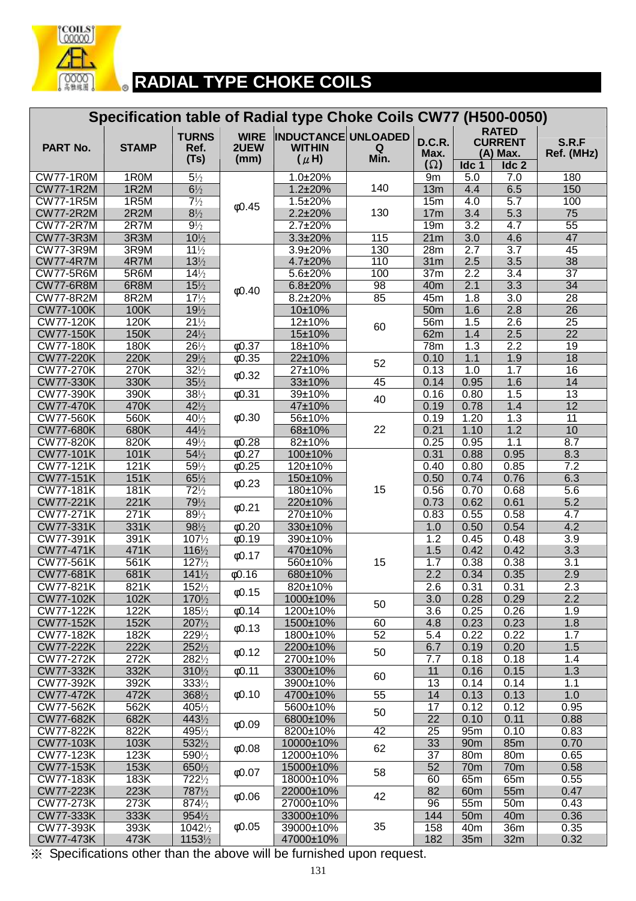

|                                        |              |                                      |                             | Specification table of Radial type Choke Coils CW77 (H500-0050) |                 |                                    |                         |                                                                |                                    |
|----------------------------------------|--------------|--------------------------------------|-----------------------------|-----------------------------------------------------------------|-----------------|------------------------------------|-------------------------|----------------------------------------------------------------|------------------------------------|
| PART No.                               | <b>STAMP</b> | <b>TURNS</b><br>Ref.<br>(Ts)         | <b>WIRE</b><br>2UEW<br>(mm) | <b>INDUCTANCE UNLOADED</b><br><b>WITHIN</b><br>$(\mu H)$        | Q<br>Min.       | D.C.R.<br>Max.<br>$(\Omega)$       | Idc 1                   | <b>RATED</b><br><b>CURRENT</b><br>(A) Max.<br>Idc <sub>2</sub> | S.R.F<br>Ref. (MHz)                |
| <b>CW77-1R0M</b>                       | 1R0M         | $5\frac{1}{2}$                       |                             | 1.0±20%                                                         |                 | 9m                                 | 5.0                     | 7.0                                                            | 180                                |
| <b>CW77-1R2M</b>                       | 1R2M         | $6\frac{1}{2}$                       |                             | $1.2 \pm 20\%$                                                  | 140             | 13m                                | 4.4                     | 6.5                                                            | 150                                |
| <b>CW77-1R5M</b>                       | 1R5M         | $7\frac{1}{2}$                       | 0.45                        | 1.5±20%                                                         |                 | 15m                                | 4.0                     | $\overline{5.7}$                                               | 100                                |
| <b>CW77-2R2M</b>                       | 2R2M         | $8\frac{1}{2}$                       |                             | $2.2 \pm 20\%$                                                  | 130             | 17m                                | 3.4                     | $\overline{5.3}$                                               | 75                                 |
| <b>CW77-2R7M</b>                       | 2R7M         | $9\frac{1}{2}$                       |                             | $2.7 \pm 20\%$                                                  |                 | 19m                                | $\overline{3.2}$        | 4.7                                                            | $\overline{55}$                    |
| <b>CW77-3R3M</b><br><b>CW77-3R9M</b>   | 3R3M<br>3R9M | $10\frac{1}{2}$<br>$11\frac{1}{2}$   |                             | 3.3±20%<br>3.9±20%                                              | 115<br>130      | 21m<br>28m                         | $\overline{3.0}$<br>2.7 | 4.6<br>$\overline{3.7}$                                        | 47<br>45                           |
| <b>CW77-4R7M</b>                       | 4R7M         | $13\frac{1}{2}$                      |                             | 4.7±20%                                                         | 110             | 31 <sub>m</sub>                    | 2.5                     | 3.5                                                            | 38                                 |
| <b>CW77-5R6M</b>                       | 5R6M         | $14\frac{1}{2}$                      |                             | 5.6±20%                                                         | 100             | 37 <sub>m</sub>                    | $\overline{2.2}$        | 3.4                                                            | $\overline{37}$                    |
| <b>CW77-6R8M</b>                       | 6R8M         | $15\frac{1}{2}$                      |                             | 6.8±20%                                                         | $\overline{98}$ | 40 <sub>m</sub>                    | 2.1                     | $\overline{3.3}$                                               | $\overline{34}$                    |
| <b>CW77-8R2M</b>                       | 8R2M         | $17\frac{1}{2}$                      | 0.40                        | 8.2±20%                                                         | 85              | 45m                                | 1.8                     | $\overline{3.0}$                                               | $\overline{28}$                    |
| <b>CW77-100K</b>                       | 100K         | $19\frac{1}{2}$                      |                             | 10±10%                                                          |                 | 50 <sub>m</sub>                    | 1.6                     | 2.8                                                            | $\overline{26}$                    |
| <b>CW77-120K</b>                       | 120K         | $21\frac{1}{2}$                      |                             | 12±10%                                                          | 60              | 56m                                | 1.5                     | $\overline{2.6}$                                               | $\overline{25}$                    |
| <b>CW77-150K</b>                       | 150K         | $24\frac{1}{2}$                      |                             | 15±10%                                                          |                 | 62m                                | 1.4                     | 2.5                                                            | $\overline{22}$                    |
| <b>CW77-180K</b>                       | 180K         | $26\frac{1}{2}$                      | 60.37                       | 18±10%                                                          |                 | 78m                                | 1.3                     | $\overline{2.2}$                                               | $\overline{19}$                    |
| <b>CW77-220K</b>                       | 220K         | $29\frac{1}{2}$                      | 0.35                        | 22±10%                                                          | 52              | 0.10                               | 1.1                     | 1.9                                                            | 18                                 |
| <b>CW77-270K</b>                       | 270K         | $32\frac{1}{2}$                      | 0.32                        | 27±10%                                                          |                 | 0.13                               | 1.0                     | 1.7                                                            | $\overline{16}$                    |
| <b>CW77-330K</b>                       | 330K         | $35\frac{1}{2}$                      |                             | 33±10%                                                          | 45              | 0.14                               | 0.95                    | 1.6                                                            | $\overline{14}$                    |
| <b>CW77-390K</b>                       | 390K         | $38\frac{1}{2}$                      | $\phi$ 0.31                 | 39±10%                                                          | 40              | 0.16                               | 0.80                    | 1.5                                                            | $\overline{13}$<br>$\overline{12}$ |
| <b>CW77-470K</b><br><b>CW77-560K</b>   | 470K<br>560K | $42\frac{1}{2}$<br>$40\frac{1}{2}$   | 0.30                        | 47±10%<br>56±10%                                                |                 | 0.19<br>0.19                       | 0.78<br>1.20            | 1.4<br>1.3                                                     | $\overline{11}$                    |
| <b>CW77-680K</b>                       | 680K         | $44\frac{1}{2}$                      |                             | 68±10%                                                          | 22              | 0.21                               | 1.10                    | 1.2                                                            | 10                                 |
| <b>CW77-820K</b>                       | 820K         | $49\frac{1}{2}$                      | 0.28                        | 82±10%                                                          |                 | 0.25                               | 0.95                    | 1.1                                                            | 8.7                                |
| <b>CW77-101K</b>                       | 101K         | $54\frac{1}{2}$                      | $\overline{60.27}$          | 100±10%                                                         |                 | 0.31                               | 0.88                    | 0.95                                                           | 8.3                                |
| CW77-121K                              | 121K         | $59\frac{1}{2}$                      | $\overline{60.25}$          | 120±10%                                                         |                 | 0.40                               | 0.80                    | 0.85                                                           | 7.2                                |
| <b>CW77-151K</b>                       | 151K         | $65\frac{1}{2}$                      |                             | 150±10%                                                         |                 | 0.50                               | 0.74                    | 0.76                                                           | 6.3                                |
| <b>CW77-181K</b>                       | 181K         | $72\frac{1}{2}$                      | 0.23                        | 180±10%                                                         | 15              | 0.56                               | 0.70                    | 0.68                                                           | 5.6                                |
| <b>CW77-221K</b>                       | 221K         | $79\frac{1}{2}$                      | 0.21                        | 220±10%                                                         |                 | 0.73                               | 0.62                    | 0.61                                                           | $\overline{5.2}$                   |
| <b>CW77-271K</b>                       | 271K         | $89\frac{1}{2}$                      |                             | 270±10%                                                         |                 | 0.83                               | 0.55                    | 0.58                                                           | $\overline{4.7}$                   |
| <b>CW77-331K</b>                       | 331K         | $98\frac{1}{2}$                      | 60.20                       | 330±10%                                                         |                 | 1.0                                | 0.50                    | 0.54                                                           | 4.2                                |
| <b>CW77-391K</b>                       | 391K         | $107\frac{1}{2}$                     | $\overline{00.19}$          | 390±10%                                                         |                 | 1.2                                | 0.45                    | 0.48                                                           | $\overline{3.9}$                   |
| <b>CW77-471K</b>                       | 471K         | $116\frac{1}{2}$                     | 0.17                        | 470±10%                                                         |                 | 1.5                                | 0.42                    | 0.42                                                           | 3.3                                |
| CW77-561K<br><b>CW77-681K</b>          | 561K<br>681K | $127\frac{1}{2}$<br>$141\frac{1}{2}$ | $\overline{6}0.16$          | 560±10%<br>680±10%                                              | 15              | 1.7<br>2.2                         | 0.38<br>0.34            | 0.38<br>0.35                                                   | 3.1<br>$\overline{2.9}$            |
| <b>CW77-821K</b>                       | 821K         | $152\frac{1}{2}$                     |                             | 820±10%                                                         |                 | 2.6                                | 0.31                    | 0.31                                                           | 2.3                                |
| <b>CW77-102K</b>                       | 102K         | $170\frac{1}{2}$                     | 0.15                        | 1000±10%                                                        |                 | 3.0                                | 0.28                    | 0.29                                                           | $\overline{2.2}$                   |
| <b>CW77-122K</b>                       | 122K         | $185\frac{1}{2}$                     | $\overline{00.14}$          | 1200±10%                                                        | 50              | 3.6                                | 0.25                    | 0.26                                                           | 1.9                                |
| <b>CW77-152K</b>                       | 152K         | $207\frac{1}{2}$                     |                             | 1500±10%                                                        | 60              | 4.8                                | 0.23                    | 0.23                                                           | 1.8                                |
| <b>CW77-182K</b>                       | 182K         | $229\frac{1}{2}$                     | 0.13                        | 1800±10%                                                        | 52              | 5.4                                | 0.22                    | 0.22                                                           | 1.7                                |
| <b>CW77-222K</b>                       | 222K         | $252\frac{1}{2}$                     | 0.12                        | 2200±10%                                                        | 50              | 6.7                                | 0.19                    | 0.20                                                           | 1.5                                |
| CW77-272K                              | 272K         | $282\frac{1}{2}$                     |                             | 2700±10%                                                        |                 | 7.7                                | 0.18                    | 0.18                                                           | 1.4                                |
| CW77-332K                              | 332K         | $310\frac{1}{2}$                     | 0.11                        | 3300±10%                                                        | 60              | 11                                 | 0.16                    | 0.15                                                           | 1.3                                |
| CW77-392K                              | 392K         | $333\frac{1}{2}$                     |                             | 3900±10%                                                        |                 | 13                                 | 0.14                    | 0.14                                                           | 1.1                                |
| <b>CW77-472K</b>                       | 472K         | $368\frac{1}{2}$                     | 0.10                        | 4700±10%                                                        | 55              | 14                                 | 0.13                    | 0.13                                                           | 1.0                                |
| <b>CW77-562K</b><br><b>CW77-682K</b>   | 562K<br>682K | $405\frac{1}{2}$<br>$443\frac{1}{2}$ |                             | 5600±10%<br>6800±10%                                            | 50              | $\overline{17}$<br>$\overline{22}$ | 0.12<br>0.10            | 0.12<br>0.11                                                   | 0.95<br>0.88                       |
| <b>CW77-822K</b>                       | 822K         | $495\frac{1}{2}$                     | 0.09                        | 8200±10%                                                        | 42              | $\overline{25}$                    | 95m                     | 0.10                                                           | 0.83                               |
| <b>CW77-103K</b>                       | 103K         | $532\frac{1}{2}$                     |                             | 10000±10%                                                       |                 | 33                                 | 90 <sub>m</sub>         | 85m                                                            | 0.70                               |
| CW77-123K                              | 123K         | 5901/2                               | 0.08                        | 12000±10%                                                       | 62              | $\overline{37}$                    | 80m                     | 80m                                                            | 0.65                               |
| <b>CW77-153K</b>                       | 153K         | 6501/2                               |                             | 15000±10%                                                       |                 | 52                                 | 70 <sub>m</sub>         | 70 <sub>m</sub>                                                | 0.58                               |
| <b>CW77-183K</b>                       | 183K         | 7221/2                               | $\phi$ 0.07                 | 18000±10%                                                       | 58              | 60                                 | 65m                     | 65m                                                            | 0.55                               |
| <b>CW77-223K</b>                       | 223K         | 7871/2                               | 0.06                        | 22000±10%                                                       | 42              | 82                                 | 60 <sub>m</sub>         | 55 <sub>m</sub>                                                | 0.47                               |
| <b>CW77-273K</b>                       | 273K         | $874\frac{1}{2}$                     |                             | 27000±10%                                                       |                 | 96                                 | 55m                     | 50 <sub>m</sub>                                                | 0.43                               |
| <b>CW77-333K</b>                       | 333K         | $954\frac{1}{2}$                     |                             | 33000±10%                                                       |                 | 144                                | 50 <sub>m</sub>         | 40 <sub>m</sub>                                                | 0.36                               |
| CW77-393K                              | 393K         | $1042\frac{1}{2}$                    | 0.05                        | 39000±10%                                                       | 35              | 158                                | 40 <sub>m</sub>         | 36m                                                            | 0.35                               |
| <b>CW77-473K</b><br>$\sim$<br>. : 2: . | 473K         | $1153\frac{1}{2}$                    |                             | 47000±10%                                                       |                 | 182                                | 35m                     | 32m                                                            | 0.32                               |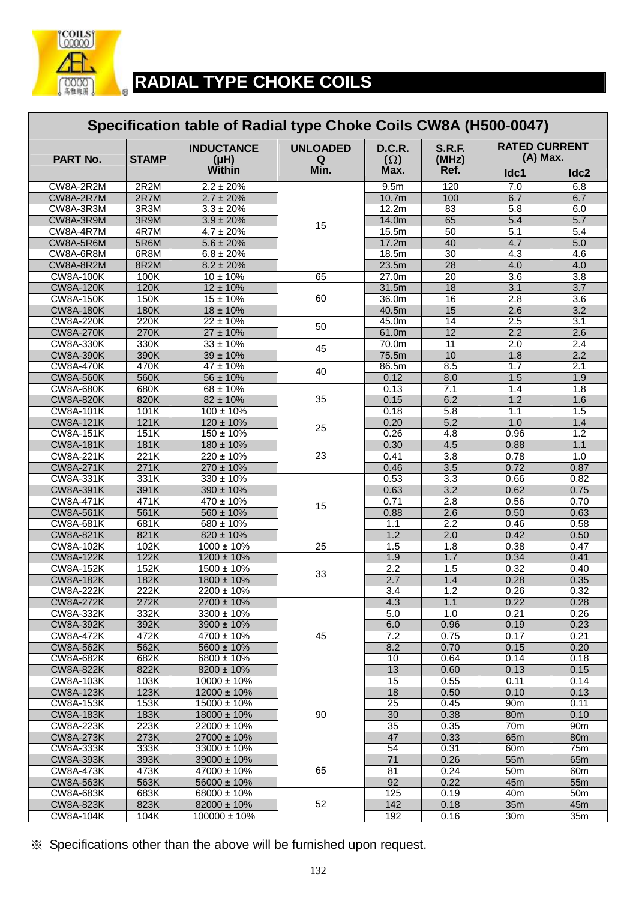

#### **RADIAL TYPE CHOKE COILS Specification table of Radial type Choke Coils CW8A (H500-0047) RATED CURRENT PART No.** STAMP  $(\mu H)$   $(\mu H)$   $Q$   $(\Omega)$   $(MHz)$   $(MHz)$   $(A)$  Max. **INDUCTANCE (μH) Within UNLOADED Q Min. D.C.R. (Ω) Max. S.R.F. (MHz) Ref. Idc1 Idc2**  CW8A-2R2M | 2R2M | 2.2 ± 20% | | 9.5m | 120 | 7.0 | 6.8 CW8A-2R7M | 2R7M | 2.7 ± 20% | | 10.7m | 100 | 6.7 | 6.7 | CW8A-3R3M | 3R3M | 3.3 ± 20% | 12.2m | 83 | 5.8 | 6.0  $CW8A-3R9M$   $3R9M$   $3.9 \pm 20\%$   $14.0m$  65 5.4 5.7 CW8A-4R7M | 4R7M | 4.7 ± 20% | ' ' | 15.5m | 50 | 5.1 | 5.4 CW8A-5R6M | 5R6M | 5.6 ± 20% | 17.2m | 40 | 4.7 | 5.0 CW8A-6R8M | 6R8M | 6.8 ± 20% | 18.5m | 30 | 4.3 | 4.6 CW8A-8R2M 8R2M 8.2 ± 20% 15 23.5m 28 4.0 4.0 CW8A-100K | 100K | 10 ± 10% | 65 | 27.0m | 20 | 3.6 | 3.8 CW8A-120K 120K 12 ± 10% 31.5m 18 3.1 3.7 CW8A-150K | 150K | 15±10% | 60 | 36.0m | 16 | 2.8 | 3.6 CW8A-180K 180K 18 ± 10% 60 40.5m 15 2.6 3.2 CW8A-220K 220K 22±10%  $\begin{array}{|c|c|c|c|c|c|c|c|c|} \hline \end{array}$  45.0m 14 2.5 3.1 CW8A-270K 270K 27 <sup>±</sup> 10% 50 61.0m 12 2.2 2.6 CW8A-330K 330K 33 ± 10% 70.0m 11 2.0 2.4 CW8A-390K 390K 39 <sup>±</sup> 10% 45 75.5m 10 1.8 2.2 CW8A-470K | 470K | 47 ± 10% | 100 | 86.5m | 8.5 | 1.7 | 2.1 CW8A-560K 560K 56 <sup>±</sup> 10% 40 0.12 8.0 1.5 1.9 CW8A-680K | 680K | 68 ± 10% 0.13 | 7.1 | 1.4 | 1.8 CW8A-820K 820K 82 ± 10% 0.15 6.2 1.2 1.6 CW8A-101K 101K 100 ± 10% 35 0.18 5.8 1.1 1.5 CW8A-121K | 121K | 120 ± 10% | <sub>25</sub> | 0.20 | 5.2 | 1.0 | 1.4 CW8A-151K 151K 150 <sup>±</sup> 10% 25 0.26 4.8 0.96 1.2 CW8A-181K 181K 180 ± 10% 0.30 4.5 0.88 1.1 CW8A-221K | 221K | 220 ± 10% | 23 | 0.41 | 3.8 | 0.78 | 1.0 CW8A-271K 271K 270 ± 10% 23 0.46 3.5 0.72 0.87 CW8A-331K | 331K | 330 ± 10% | | 0.53 | 3.3 | 0.66 | 0.82 CW8A-391K 391K 390 ± 10% 0.63 3.2 0.62 0.75 CW8A-471K | 471K | 470 ± 10% |  $\frac{1}{15}$  | 0.71 | 2.8 | 0.56 | 0.70 CW8A-561K | 561K | 560 ± 10% | <sup>10</sup> | 0.88 | 2.6 | 0.50 | 0.63 CW8A-681K | 681K | 680 ± 10% | | 1.1 | 2.2 | 0.46 | 0.58  $CW8A-821K$  821K 820 ± 10% 15 1.2 2.0 0.42 0.50 CW8A-102K | 102K | 1000 ± 10% | 25 | 1.5 | 1.8 | 0.38 | 0.47 CW8A-122K | 122K | 1200 ± 10% | | 1.9 | 1.7 | 0.34 | 0.41 CW8A-152K | 152K | 1500 ± 10% | 2.2 | 1.5 | 0.32 | 0.40 CW8A-182K | 182K | 1800 ± 10% | 2.7 | 1.4 | 0.28 | 0.35 CW8A-222K 222K 2200 ± 10% 33 3.4 1.2 0.26 0.32 CW8A-272K | 272K | 2700 ± 10% | | 4.3 | 1.1 | 0.22 | 0.28 CW8A-332K | 332K | 3300 ± 10% | | 5.0 | 1.0 | 0.21 | 0.26

| <b>CW8A-392K</b> | 392K | $3900 \pm 10\%$  |    | 6.0 | 0.96 | 0.19            | 0.23            |
|------------------|------|------------------|----|-----|------|-----------------|-----------------|
| CW8A-472K        | 472K | $4700 \pm 10\%$  | 45 | 7.2 | 0.75 | 0.17            | 0.21            |
| <b>CW8A-562K</b> | 562K | $5600 \pm 10\%$  |    | 8.2 | 0.70 | 0.15            | 0.20            |
| <b>CW8A-682K</b> | 682K | 6800 ± 10%       |    | 10  | 0.64 | 0.14            | 0.18            |
| <b>CW8A-822K</b> | 822K | $8200 \pm 10\%$  |    | 13  | 0.60 | 0.13            | 0.15            |
| <b>CW8A-103K</b> | 103K | $10000 \pm 10\%$ |    | 15  | 0.55 | 0.11            | 0.14            |
| <b>CW8A-123K</b> | 123K | 12000 ± 10%      |    | 18  | 0.50 | 0.10            | 0.13            |
| <b>CW8A-153K</b> | 153K | 15000 ± 10%      |    | 25  | 0.45 | 90 <sub>m</sub> | 0.11            |
| <b>CW8A-183K</b> | 183K | 18000 ± 10%      | 90 | 30  | 0.38 | 80 <sub>m</sub> | 0.10            |
| <b>CW8A-223K</b> | 223K | 22000 ± 10%      |    | 35  | 0.35 | 70 <sub>m</sub> | 90 <sub>m</sub> |
| <b>CW8A-273K</b> | 273K | 27000 ± 10%      |    | 47  | 0.33 | 65 <sub>m</sub> | 80 <sub>m</sub> |
| <b>CW8A-333K</b> | 333K | $33000 \pm 10\%$ |    | 54  | 0.31 | 60 <sub>m</sub> | 75m             |
| <b>CW8A-393K</b> | 393K | $39000 \pm 10\%$ |    | 71  | 0.26 | 55 <sub>m</sub> | 65 <sub>m</sub> |
| <b>CW8A-473K</b> | 473K | 47000 ± 10%      | 65 | 81  | 0.24 | 50 <sub>m</sub> | 60 <sub>m</sub> |
| CW8A-563K        | 563K | $56000 \pm 10\%$ |    | 92  | 0.22 | 45 <sub>m</sub> | 55 <sub>m</sub> |
| <b>CW8A-683K</b> | 683K | 68000 ± 10%      |    | 125 | 0.19 | 40m             | 50 <sub>m</sub> |
| <b>CW8A-823K</b> | 823K | 82000 ± 10%      | 52 | 142 | 0.18 | 35 <sub>m</sub> | 45 <sub>m</sub> |
| <b>CW8A-104K</b> | 104K | 100000 ± 10%     |    | 192 | 0.16 | 30 <sub>m</sub> | 35 <sub>m</sub> |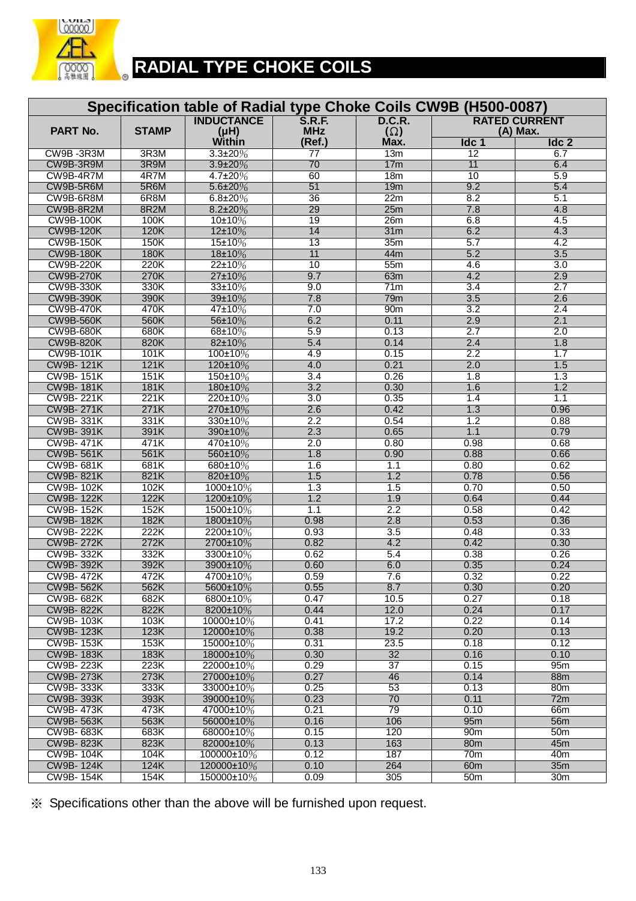

# **RADIAL TYPE CHOKE COILS**

| Specification table of Radial type Choke Coils CW9B (H500-0087) |                   |                                        |                             |                             |                         |                                  |  |  |  |
|-----------------------------------------------------------------|-------------------|----------------------------------------|-----------------------------|-----------------------------|-------------------------|----------------------------------|--|--|--|
| <b>PART No.</b>                                                 | <b>STAMP</b>      | <b>INDUCTANCE</b><br>(H <sub>H</sub> ) | <b>S.R.F.</b><br><b>MHz</b> | <b>D.C.R.</b><br>$(\Omega)$ |                         | <b>RATED CURRENT</b><br>(A) Max. |  |  |  |
|                                                                 |                   | Within                                 | (Ref.)                      | Max.                        | Idc 1                   | Idc <sub>2</sub>                 |  |  |  |
| CW9B-3R3M                                                       | 3R <sub>3</sub> M | $3.3 \pm 20\%$                         | $\overline{77}$             | 13m                         | $\overline{12}$         | 6.7                              |  |  |  |
| CW9B-3R9M                                                       | 3R9M              | $3.9 + 20%$                            | 70                          | 17m                         | 11                      | 6.4                              |  |  |  |
| CW9B-4R7M                                                       | 4R7M              | $4.7 \pm 20\%$                         | 60                          | 18m                         | 10                      | 5.9                              |  |  |  |
| CW9B-5R6M                                                       | 5R6M              | $5.6 \pm 20\%$                         | 51                          | 19m                         | 9.2                     | 5.4                              |  |  |  |
| CW9B-6R8M                                                       | 6R8M              | $6.8 \pm 20\%$                         | 36                          | 22m                         | 8.2                     | 5.1                              |  |  |  |
| CW9B-8R2M                                                       | 8R2M              | $8.2 \pm 20\%$                         | 29                          | 25m                         | 7.8                     | 4.8                              |  |  |  |
| <b>CW9B-100K</b>                                                | 100K              | 10±10%                                 | 19                          | 26 <sub>m</sub>             | 6.8                     | 4.5                              |  |  |  |
| <b>CW9B-120K</b>                                                | 120K              | 12±10%                                 | 14                          | 31m                         | 6.2                     | 4.3                              |  |  |  |
| <b>CW9B-150K</b>                                                | 150K              | 15±10%                                 | $\overline{13}$             | 35m                         | 5.7                     | 4.2                              |  |  |  |
| <b>CW9B-180K</b>                                                | 180K              | 18±10%                                 | $\overline{11}$             | 44m                         | 5.2                     | 3.5                              |  |  |  |
| <b>CW9B-220K</b>                                                | 220K              | 22±10%                                 | 10<br>9.7                   | 55m                         | 4.6<br>4.2              | 3.0                              |  |  |  |
| <b>CW9B-270K</b>                                                | 270K              | 27±10%                                 |                             | 63m                         |                         | 2.9                              |  |  |  |
| <b>CW9B-330K</b>                                                | 330K<br>390K      | 33±10%                                 | 9.0                         | 71m                         | $\overline{3.4}$<br>3.5 | 2.7                              |  |  |  |
| <b>CW9B-390K</b><br><b>CW9B-470K</b>                            | 470K              | 39±10%<br>47±10%                       | 7.8                         | 79m                         | 3.2                     | 2.6<br>2.4                       |  |  |  |
| <b>CW9B-560K</b>                                                | 560K              | 56±10%                                 | 7.0<br>6.2                  | 90m<br>0.11                 | 2.9                     | 2.1                              |  |  |  |
| <b>CW9B-680K</b>                                                | 680K              | 68±10%                                 | 5.9                         | 0.13                        | 2.7                     | 2.0                              |  |  |  |
| <b>CW9B-820K</b>                                                | 820K              | 82±10%                                 | 5.4                         | 0.14                        | 2.4                     | 1.8                              |  |  |  |
| <b>CW9B-101K</b>                                                | 101K              | 100±10%                                | 4.9                         | 0.15                        | 2.2                     | 1.7                              |  |  |  |
| <b>CW9B-121K</b>                                                | 121K              | 120±10%                                | 4.0                         | 0.21                        | 2.0                     | 1.5                              |  |  |  |
| <b>CW9B-151K</b>                                                | 151K              | 150±10%                                | $\overline{3.4}$            | 0.26                        | 1.8                     | 1.3                              |  |  |  |
| <b>CW9B-181K</b>                                                | <b>181K</b>       | 180±10%                                | 3.2                         | 0.30                        | 1.6                     | 1.2                              |  |  |  |
| <b>CW9B-221K</b>                                                | 221K              | 220±10%                                | 3.0                         | 0.35                        | 1.4                     | 1.1                              |  |  |  |
| <b>CW9B-271K</b>                                                | 271K              | 270±10%                                | 2.6                         | 0.42                        | 1.3                     | 0.96                             |  |  |  |
| <b>CW9B-331K</b>                                                | 331K              | 330±10%                                | 2.2                         | 0.54                        | 1.2                     | 0.88                             |  |  |  |
| <b>CW9B-391K</b>                                                | 391K              | 390±10%                                | 2.3                         | 0.65                        | 1.1                     | 0.79                             |  |  |  |
| <b>CW9B-471K</b>                                                | 471K              | 470±10%                                | 2.0                         | 0.80                        | 0.98                    | 0.68                             |  |  |  |
| <b>CW9B-561K</b>                                                | 561K              | 560±10%                                | 1.8                         | 0.90                        | 0.88                    | 0.66                             |  |  |  |
| CW9B-681K                                                       | 681K              | 680±10%                                | 1.6                         | 1.1                         | 0.80                    | 0.62                             |  |  |  |
| <b>CW9B-821K</b>                                                | 821K              | 820±10%                                | 1.5                         | 1.2                         | 0.78                    | 0.56                             |  |  |  |
| <b>CW9B-102K</b>                                                | 102K              | 1000±10%                               | 1.3                         | 1.5                         | 0.70                    | 0.50                             |  |  |  |
| <b>CW9B-122K</b>                                                | 122K              | 1200±10%                               | 1.2                         | 1.9                         | 0.64                    | 0.44                             |  |  |  |
| <b>CW9B-152K</b>                                                | 152K              | 1500±10%                               | 1.1                         | 2.2                         | 0.58                    | 0.42                             |  |  |  |
| <b>CW9B-182K</b>                                                | 182K              | 1800±10%                               | 0.98                        | 2.8                         | 0.53                    | 0.36                             |  |  |  |
| <b>CW9B-222K</b>                                                | 222K              | 2200±10%                               | 0.93                        | 3.5                         | 0.48                    | 0.33                             |  |  |  |
| <b>CW9B-272K</b>                                                | 272K              | 2700±10%                               | 0.82                        | 4.2                         | 0.42                    | 0.30                             |  |  |  |
| <b>CW9B-332K</b>                                                | 332K              | 3300±10%                               | 0.62                        | 5.4                         | 0.38                    | 0.26                             |  |  |  |
| <b>CW9B-392K</b>                                                | 392K              | 3900±10%                               | 0.60                        | 6.0                         | 0.35                    | 0.24                             |  |  |  |
| <b>CW9B-472K</b>                                                | 472K              | 4700±10%                               | 0.59                        | 7.6                         | 0.32                    | 0.22                             |  |  |  |
| <b>CW9B-562K</b>                                                | 562K              | 5600±10%                               | 0.55                        | 8.7                         | 0.30                    | 0.20                             |  |  |  |
| <b>CW9B-682K</b>                                                | 682K              | 6800±10%                               | 0.47                        | 10.5                        | 0.27                    | 0.18                             |  |  |  |
| <b>CW9B-822K</b>                                                | 822K              | 8200±10%                               | 0.44                        | 12.0                        | 0.24                    | 0.17                             |  |  |  |
| <b>CW9B-103K</b>                                                | 103K              | $10000\pm10\%$                         | 0.41                        | 17.2                        | 0.22                    | 0.14                             |  |  |  |
| <b>CW9B-123K</b>                                                | 123K              | 12000±10%                              | 0.38                        | 19.2                        | 0.20                    | 0.13                             |  |  |  |
| <b>CW9B-153K</b>                                                | 153K              | 15000±10%                              | 0.31                        | 23.5                        | 0.18                    | 0.12                             |  |  |  |
| <b>CW9B-183K</b>                                                | 183K              | 18000±10%                              | 0.30                        | 32                          | 0.16                    | 0.10                             |  |  |  |
| <b>CW9B-223K</b>                                                | 223K              | 22000±10%                              | 0.29                        | $\overline{37}$             | 0.15                    | 95m                              |  |  |  |
| <b>CW9B-273K</b>                                                | 273K              | 27000±10%                              | 0.27                        | 46                          | 0.14                    | 88m                              |  |  |  |
| <b>CW9B-333K</b><br><b>CW9B-393K</b>                            | 333K              | 33000±10%                              | 0.25<br>0.23                | 53<br>70                    | 0.13                    | 80m                              |  |  |  |
| <b>CW9B-473K</b>                                                | 393K<br>473K      | 39000±10%<br>47000±10%                 | 0.21                        | 79                          | 0.11                    | 72m                              |  |  |  |
| <b>CW9B-563K</b>                                                | 563K              | 56000±10%                              | 0.16                        | 106                         | 0.10<br>95m             | 66m<br>56 <sub>m</sub>           |  |  |  |
| CW9B- 683K                                                      | 683K              | 68000±10%                              | 0.15                        | 120                         | 90m                     | 50 <sub>m</sub>                  |  |  |  |
| <b>CW9B-823K</b>                                                | 823K              | 82000±10%                              | 0.13                        | 163                         | 80 <sub>m</sub>         | 45m                              |  |  |  |
| <b>CW9B-104K</b>                                                | 104K              | 100000±10%                             | 0.12                        | 187                         | 70 <sub>m</sub>         | 40 <sub>m</sub>                  |  |  |  |
| <b>CW9B-124K</b>                                                | 124K              | 120000±10%                             | 0.10                        | 264                         | 60 <sub>m</sub>         | 35m                              |  |  |  |
| <b>CW9B-154K</b>                                                | 154K              | 150000±10%                             | 0.09                        | 305                         | 50 <sub>m</sub>         | 30 <sub>m</sub>                  |  |  |  |
|                                                                 |                   |                                        |                             |                             |                         |                                  |  |  |  |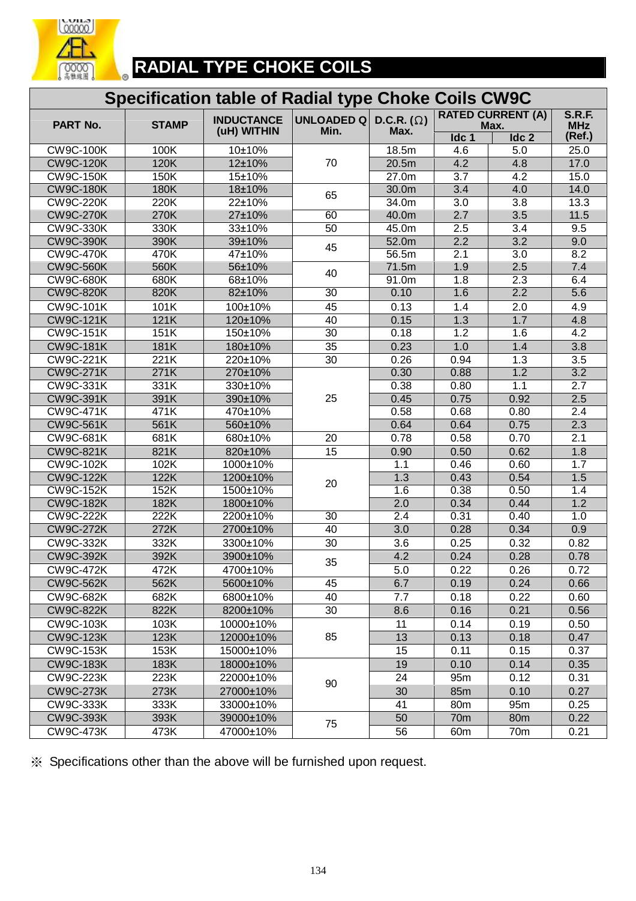

 $\overline{a}$ 

## **RADIAL TYPE CHOKE COILS**

### **Specification table of Radial type Choke Coils CW9C**

| PART No.                            | <b>STAMP</b> | <b>INDUCTANCE</b> | UNLOADED Q      | D.C.R. $(\Omega)$ |                  | <b>RATED CURRENT (A)</b><br>Max. | <b>S.R.F.</b><br><b>MHz</b> |
|-------------------------------------|--------------|-------------------|-----------------|-------------------|------------------|----------------------------------|-----------------------------|
|                                     |              | (uH) WITHIN       | Min.            | Max.              | Idc 1            | Idc <sub>2</sub>                 | (Ref.)                      |
| <b>CW9C-100K</b>                    | 100K         | 10±10%            |                 | 18.5m             | 4.6              | 5.0                              | 25.0                        |
| <b>CW9C-120K</b>                    | 120K         | 12±10%            | 70              | 20.5m             | 4.2              | 4.8                              | 17.0                        |
| <b>CW9C-150K</b>                    | 150K         | 15±10%            |                 | 27.0 <sub>m</sub> | $\overline{3.7}$ | 4.2                              | 15.0                        |
| <b>CW9C-180K</b>                    | 180K         | 18±10%            | 65              | 30.0m             | 3.4              | 4.0                              | 14.0                        |
| <b>CW9C-220K</b>                    | 220K         | 22±10%            |                 | 34.0m             | $\overline{3.0}$ | $\overline{3.8}$                 | 13.3                        |
| <b>CW9C-270K</b>                    | 270K         | 27±10%            | 60              | 40.0m             | 2.7              | $\overline{3.5}$                 | 11.5                        |
| <b>CW9C-330K</b>                    | 330K         | 33±10%            | 50              | 45.0m             | 2.5              | $\overline{3.4}$                 | 9.5                         |
| <b>CW9C-390K</b>                    | 390K         | 39±10%            | 45              | 52.0m             | 2.2              | $\overline{3.2}$                 | 9.0                         |
| <b>CW9C-470K</b>                    | 470K         | 47±10%            |                 | 56.5m             | 2.1              | $\overline{3.0}$                 | 8.2                         |
| <b>CW9C-560K</b>                    | 560K         | 56±10%            | 40              | 71.5m             | 1.9              | 2.5                              | 7.4                         |
| <b>CW9C-680K</b>                    | 680K         | 68±10%            |                 | 91.0m             | 1.8              | 2.3                              | 6.4                         |
| <b>CW9C-820K</b>                    | 820K         | 82±10%            | $\overline{30}$ | 0.10              | 1.6              | $\overline{2.2}$                 | 5.6                         |
| <b>CW9C-101K</b>                    | 101K         | 100±10%           | 45              | 0.13              | 1.4              | 2.0                              | 4.9                         |
| <b>CW9C-121K</b>                    | 121K         | 120±10%           | 40              | 0.15              | 1.3              | 1.7                              | 4.8                         |
| <b>CW9C-151K</b>                    | 151K         | 150±10%           | $\overline{30}$ | 0.18              | 1.2              | 1.6                              | 4.2                         |
| <b>CW9C-181K</b>                    | 181K         | 180±10%           | 35              | 0.23              | 1.0              | 1.4                              | 3.8                         |
| <b>CW9C-221K</b>                    | 221K         | 220±10%           | 30              | 0.26              | 0.94             | 1.3                              | 3.5                         |
| <b>CW9C-271K</b>                    | 271K         | 270±10%           |                 | 0.30              | 0.88             | 1.2                              | $\overline{3.2}$            |
| <b>CW9C-331K</b>                    | 331K         | 330±10%           |                 | 0.38              | 0.80             | 1.1                              | $\overline{2.7}$            |
| <b>CW9C-391K</b>                    | 391K         | 390±10%           | 25              | 0.45              | 0.75             | 0.92                             | 2.5                         |
| <b>CW9C-471K</b>                    | 471K         | 470±10%           |                 | 0.58              | 0.68             | 0.80                             | $\overline{2.4}$            |
| <b>CW9C-561K</b>                    | 561K         | 560±10%           |                 | 0.64              | 0.64             | 0.75                             | 2.3                         |
| <b>CW9C-681K</b>                    | 681K         | 680±10%           | 20              | 0.78              | 0.58             | 0.70                             | 2.1                         |
| <b>CW9C-821K</b>                    | 821K         | 820±10%           | 15              | 0.90              | 0.50             | 0.62                             | 1.8                         |
| <b>CW9C-102K</b>                    | 102K         | 1000±10%          |                 | 1.1               | 0.46             | 0.60                             | 1.7                         |
| <b>CW9C-122K</b>                    | 122K         | 1200±10%          | 20              | 1.3               | 0.43             | 0.54                             | 1.5                         |
| <b>CW9C-152K</b>                    | 152K         | 1500±10%          |                 | 1.6               | 0.38             | 0.50                             | 1.4                         |
| <b>CW9C-182K</b>                    | 182K         | 1800±10%          |                 | $\overline{2.0}$  | 0.34             | 0.44                             | 1.2                         |
| <b>CW9C-222K</b>                    | 222K         | 2200±10%          | $\overline{30}$ | $\overline{2.4}$  | 0.31             | 0.40                             | 1.0                         |
| <b>CW9C-272K</b>                    | 272K         | 2700±10%          | 40              | 3.0               | 0.28             | 0.34                             | 0.9                         |
| <b>CW9C-332K</b>                    | 332K         | 3300±10%          | 30              | 3.6               | 0.25             | 0.32                             | 0.82                        |
| <b>CW9C-392K</b>                    | 392K         | 3900±10%          | 35              | 4.2               | 0.24             | 0.28                             | 0.78                        |
| $\overline{CW9C-47}$ <sub>2</sub> K | 472K         | 4700±10%          |                 | 5.0               | 0.22             | 0.26                             | 0.72                        |
| <b>CW9C-562K</b>                    | 562K         | 5600±10%          | 45              | 6.7               | 0.19             | 0.24                             | 0.66                        |
| <b>CW9C-682K</b>                    | 682K         | 6800±10%          | 40              | 7.7               | 0.18             | 0.22                             | 0.60                        |
| <b>CW9C-822K</b>                    | 822K         | 8200±10%          | 30              | 8.6               | 0.16             | 0.21                             | 0.56                        |
| <b>CW9C-103K</b>                    | 103K         | 10000±10%         |                 | 11                | 0.14             | 0.19                             | 0.50                        |
| <b>CW9C-123K</b>                    | 123K         | 12000±10%         | 85              | 13                | 0.13             | 0.18                             | 0.47                        |
| <b>CW9C-153K</b>                    | 153K         | 15000±10%         |                 | 15                | 0.11             | 0.15                             | 0.37                        |
| <b>CW9C-183K</b>                    | 183K         | 18000±10%         |                 | 19                | 0.10             | 0.14                             | 0.35                        |
| <b>CW9C-223K</b>                    | 223K         | 22000±10%         | 90              | 24                | 95m              | 0.12                             | 0.31                        |
| <b>CW9C-273K</b>                    | 273K         | 27000±10%         |                 | 30                | 85m              | 0.10                             | 0.27                        |
| <b>CW9C-333K</b>                    | 333K         | 33000±10%         |                 | 41                | 80 <sub>m</sub>  | 95m                              | 0.25                        |
| <b>CW9C-393K</b>                    | 393K         | 39000±10%         | 75              | 50                | 70 <sub>m</sub>  | 80 <sub>m</sub>                  | 0.22                        |
| <b>CW9C-473K</b>                    | 473K         | 47000±10%         |                 | 56                | 60 <sub>m</sub>  | 70 <sub>m</sub>                  | 0.21                        |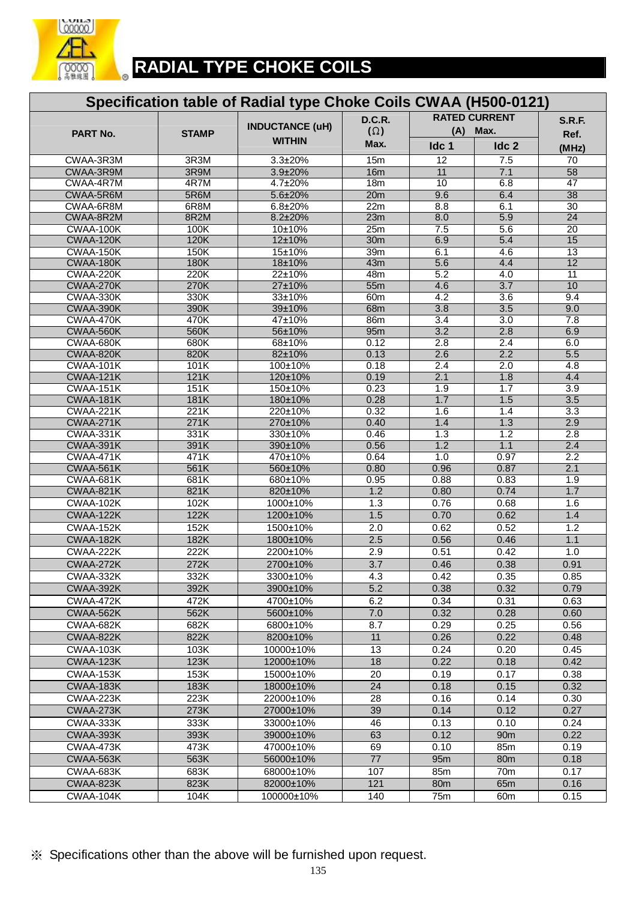

# **RADIAL TYPE CHOKE COILS**

|                               |              | Specification table of Radial type Choke Coils CWAA (H500-0121) |                  |                  |                      |                 |
|-------------------------------|--------------|-----------------------------------------------------------------|------------------|------------------|----------------------|-----------------|
|                               |              |                                                                 | <b>D.C.R.</b>    |                  | <b>RATED CURRENT</b> | <b>S.R.F.</b>   |
| PART No.                      | <b>STAMP</b> | <b>INDUCTANCE (uH)</b>                                          | $(\Omega)$       | (A)              | Max.                 | Ref.            |
|                               |              | <b>WITHIN</b>                                                   | Max.             | Idc 1            | Idc 2                | (MHz)           |
| CWAA-3R3M                     | 3R3M         | 3.3±20%                                                         | 15m              | 12               | 7.5                  | 70              |
| CWAA-3R9M                     | 3R9M         | 3.9±20%                                                         | 16m              | 11               | 7.1                  | 58              |
| CWAA-4R7M                     | 4R7M         | 4.7±20%                                                         | 18m              | 10               | 6.8                  | 47              |
| CWAA-5R6M                     | 5R6M         | 5.6±20%                                                         | 20m              | 9.6              | 6.4                  | 38              |
| CWAA-6R8M                     | 6R8M         | 6.8±20%                                                         | 22m              | 8.8              | 6.1                  | $\overline{30}$ |
| CWAA-8R2M                     | 8R2M         | 8.2±20%                                                         | 23m              | 8.0              | 5.9                  | $\overline{24}$ |
| CWAA-100K<br>CWAA-120K        | 100K<br>120K | 10±10%<br>12±10%                                                | 25m<br>30m       | 7.5<br>6.9       | 5.6<br>5.4           | 20<br>15        |
| CWAA-150K                     | 150K         | 15±10%                                                          | 39m              | 6.1              | 4.6                  | $\overline{13}$ |
| CWAA-180K                     | 180K         | 18±10%                                                          | 43m              | 5.6              | 4.4                  | 12              |
| CWAA-220K                     | 220K         | 22±10%                                                          | 48m              | 5.2              | 4.0                  | 11              |
| CWAA-270K                     | 270K         | 27±10%                                                          | 55m              | 4.6              | $\overline{3.7}$     | 10              |
| CWAA-330K                     | 330K         | 33±10%                                                          | 60 <sub>m</sub>  | 4.2              | 3.6                  | 9.4             |
| CWAA-390K                     | 390K         | 39±10%                                                          | 68m              | 3.8              | 3.5                  | 9.0             |
| CWAA-470K                     | 470K         | 47±10%                                                          | 86m              | 3.4              | 3.0                  | 7.8             |
| CWAA-560K                     | 560K         | 56±10%                                                          | 95m              | 3.2              | 2.8                  | 6.9             |
| CWAA-680K                     | 680K         | 68±10%                                                          | 0.12             | 2.8              | 2.4                  | 6.0             |
| CWAA-820K                     | 820K         | 82±10%                                                          | 0.13             | 2.6              | 2.2                  | 5.5             |
| CWAA-101K                     | 101K         | 100±10%                                                         | 0.18             | $\overline{2.4}$ | $\overline{2.0}$     | 4.8             |
| CWAA-121K                     | 121K         | 120±10%                                                         | 0.19             | 2.1              | 1.8                  | 4.4             |
| CWAA-151K                     | 151K         | 150±10%                                                         | 0.23             | 1.9              | 1.7                  | 3.9             |
| CWAA-181K                     | 181K         | 180±10%                                                         | 0.28             | 1.7              | 1.5                  | 3.5             |
| <b>CWAA-221K</b><br>CWAA-271K | 221K<br>271K | 220±10%<br>270±10%                                              | 0.32<br>0.40     | 1.6<br>1.4       | 1.4<br>1.3           | 3.3<br>2.9      |
| CWAA-331K                     | 331K         | 330±10%                                                         | 0.46             | 1.3              | 1.2                  | 2.8             |
| CWAA-391K                     | 391K         | 390±10%                                                         | 0.56             | 1.2              | 1.1                  | 2.4             |
| CWAA-471K                     | 471K         | 470±10%                                                         | 0.64             | 1.0              | 0.97                 | 2.2             |
| CWAA-561K                     | 561K         | 560±10%                                                         | 0.80             | 0.96             | 0.87                 | 2.1             |
| CWAA-681K                     | 681K         | 680±10%                                                         | 0.95             | 0.88             | 0.83                 | 1.9             |
| CWAA-821K                     | 821K         | 820±10%                                                         | 1.2              | 0.80             | 0.74                 | 1.7             |
| CWAA-102K                     | 102K         | 1000±10%                                                        | 1.3              | 0.76             | 0.68                 | 1.6             |
| CWAA-122K                     | 122K         | 1200±10%                                                        | 1.5              | 0.70             | 0.62                 | 1.4             |
| CWAA-152K                     | 152K         | 1500±10%                                                        | 2.0              | 0.62             | 0.52                 | 1.2             |
| CWAA-182K                     | 182K         | 1800±10%                                                        | 2.5              | 0.56             | 0.46                 | 1.1             |
| CWAA-222K                     | 222K         | 2200±10%                                                        | 2.9              | 0.51             | 0.42                 | 1.0             |
| CWAA-272K                     | 272K         | 2700±10%                                                        | $\overline{3.7}$ | 0.46             | 0.38                 | 0.91            |
| CWAA-332K                     | 332K         | 3300±10%                                                        | 4.3              | 0.42             | 0.35                 | 0.85            |
| CWAA-392K                     | 392K         | 3900±10%                                                        | 5.2              | 0.38             | 0.32                 | 0.79            |
| CWAA-472K                     | 472K         | 4700±10%                                                        | 6.2              | 0.34             | 0.31                 | 0.63            |
| CWAA-562K                     | 562K         | 5600±10%                                                        | 7.0              | 0.32             | 0.28                 | 0.60            |
| CWAA-682K                     | 682K         | 6800±10%                                                        | 8.7              | 0.29             | 0.25                 | 0.56            |
| CWAA-822K                     | 822K         | 8200±10%                                                        | 11               | 0.26             | 0.22                 | 0.48            |
| CWAA-103K                     | 103K         | 10000±10%                                                       | 13               | 0.24             | 0.20                 | 0.45            |
| CWAA-123K                     | 123K         | 12000±10%                                                       | 18               | 0.22             | 0.18                 | 0.42            |
| CWAA-153K                     | 153K         | 15000±10%                                                       | 20               | 0.19             | 0.17                 | 0.38            |
| CWAA-183K                     | 183K         | 18000±10%                                                       | 24               | 0.18             | 0.15                 | 0.32            |
| CWAA-223K                     | 223K         | 22000±10%                                                       | 28               | 0.16             | 0.14                 | 0.30            |
| CWAA-273K                     | 273K         | 27000±10%                                                       | 39               | 0.14             | 0.12                 | 0.27            |
| CWAA-333K                     | 333K         | 33000±10%                                                       | 46               | 0.13             | 0.10                 | 0.24            |
| CWAA-393K                     | 393K         | 39000±10%                                                       | 63               | 0.12             | 90 <sub>m</sub>      | 0.22            |
| CWAA-473K                     | 473K         | 47000±10%                                                       | 69               | 0.10             | 85m                  | 0.19            |
| CWAA-563K                     | 563K         | 56000±10%                                                       | 77               | 95m              | 80m                  | 0.18            |
| CWAA-683K                     | 683K         | 68000±10%                                                       | 107              | 85m              | 70m                  | 0.17            |
| CWAA-823K                     | 823K         | 82000±10%                                                       | $\overline{121}$ | 80 <sub>m</sub>  | 65m                  | 0.16            |
| CWAA-104K                     | 104K         | 100000±10%                                                      | 140              | 75m              | 60m                  | 0.15            |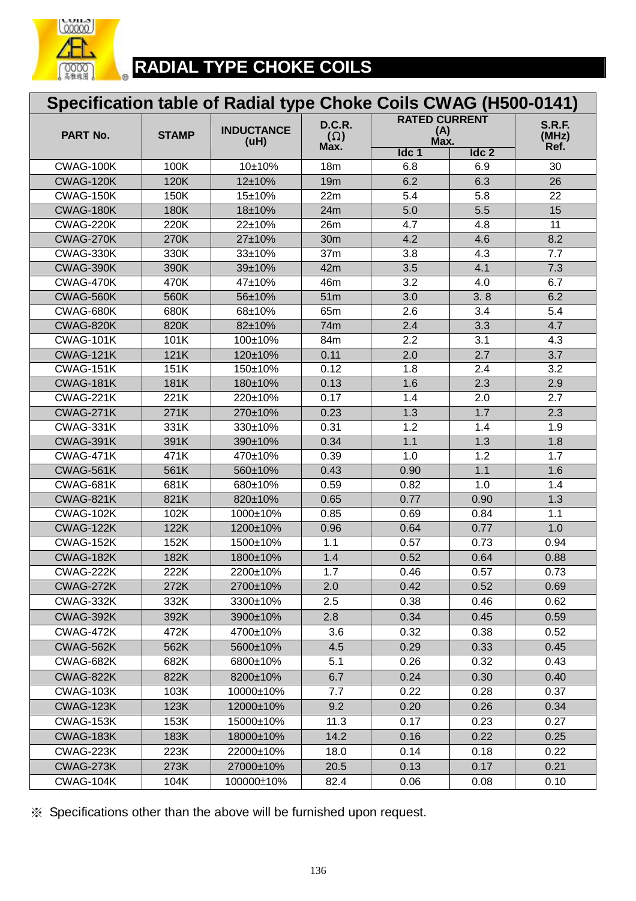

# **RADIAL TYPE CHOKE COILS**

| Specification table of Radial type Choke Coils CWAG (H500-0141) |              |                           |                                     |                                     |            |                                |  |  |
|-----------------------------------------------------------------|--------------|---------------------------|-------------------------------------|-------------------------------------|------------|--------------------------------|--|--|
| PART No.                                                        | <b>STAMP</b> | <b>INDUCTANCE</b><br>(uH) | <b>D.C.R.</b><br>$(\Omega)$<br>Max. | <b>RATED CURRENT</b><br>(A)<br>Max. |            | <b>S.R.F.</b><br>(MHz)<br>Ref. |  |  |
|                                                                 |              |                           |                                     | Idc 1                               | Idc 2      |                                |  |  |
| CWAG-100K                                                       | 100K         | 10±10%                    | 18m                                 | 6.8                                 | 6.9        | 30                             |  |  |
| CWAG-120K                                                       | 120K         | 12±10%                    | 19m                                 | 6.2                                 | 6.3        | 26                             |  |  |
| CWAG-150K                                                       | 150K         | 15±10%                    | 22m                                 | 5.4                                 | 5.8        | 22                             |  |  |
| CWAG-180K                                                       | 180K<br>220K | 18±10%                    | 24m                                 | 5.0                                 | 5.5        | 15<br>$\overline{11}$          |  |  |
| CWAG-220K                                                       |              | 22±10%                    | 26m                                 | 4.7                                 | 4.8        |                                |  |  |
| CWAG-270K<br>CWAG-330K                                          | 270K         | 27±10%                    | 30m<br>37m                          | 4.2                                 | 4.6        | 8.2                            |  |  |
| CWAG-390K                                                       | 330K<br>390K | 33±10%                    | 42m                                 | 3.8<br>3.5                          | 4.3        | 7.7                            |  |  |
| CWAG-470K                                                       | 470K         | 39±10%<br>47±10%          | 46m                                 | $\overline{3.2}$                    | 4.1<br>4.0 | 7.3<br>6.7                     |  |  |
| CWAG-560K                                                       | 560K         | 56±10%                    | 51m                                 | 3.0                                 | 3.8        | 6.2                            |  |  |
| CWAG-680K                                                       | 680K         | 68±10%                    | 65m                                 | 2.6                                 | 3.4        | 5.4                            |  |  |
| CWAG-820K                                                       | 820K         | 82±10%                    | 74m                                 | 2.4                                 | 3.3        | 4.7                            |  |  |
| CWAG-101K                                                       | 101K         | 100±10%                   | 84m                                 | 2.2                                 | 3.1        | 4.3                            |  |  |
| <b>CWAG-121K</b>                                                | 121K         | 120±10%                   | 0.11                                | 2.0                                 | 2.7        | $\overline{3.7}$               |  |  |
| CWAG-151K                                                       | 151K         | 150±10%                   | 0.12                                | 1.8                                 | 2.4        | 3.2                            |  |  |
| CWAG-181K                                                       | 181K         | 180±10%                   | 0.13                                | 1.6                                 | 2.3        | 2.9                            |  |  |
| CWAG-221K                                                       | 221K         | 220±10%                   | 0.17                                | 1.4                                 | 2.0        | 2.7                            |  |  |
| CWAG-271K                                                       | 271K         | 270±10%                   | 0.23                                | 1.3                                 | 1.7        | 2.3                            |  |  |
| CWAG-331K                                                       | 331K         | 330±10%                   | 0.31                                | 1.2                                 | 1.4        | 1.9                            |  |  |
| CWAG-391K                                                       | 391K         | 390±10%                   | 0.34                                | 1.1                                 | 1.3        | 1.8                            |  |  |
| CWAG-471K                                                       | 471K         | 470±10%                   | 0.39                                | 1.0                                 | 1.2        | 1.7                            |  |  |
| CWAG-561K                                                       | 561K         | 560±10%                   | 0.43                                | 0.90                                | 1.1        | 1.6                            |  |  |
| CWAG-681K                                                       | 681K         | 680±10%                   | 0.59                                | 0.82                                | 1.0        | 1.4                            |  |  |
| <b>CWAG-821K</b>                                                | 821K         | 820±10%                   | 0.65                                | 0.77                                | 0.90       | 1.3                            |  |  |
| CWAG-102K                                                       | 102K         | 1000±10%                  | 0.85                                | 0.69                                | 0.84       | 1.1                            |  |  |
| CWAG-122K                                                       | 122K         | 1200±10%                  | 0.96                                | 0.64                                | 0.77       | 1.0                            |  |  |
| CWAG-152K                                                       | 152K         | 1500±10%                  | 1.1                                 | 0.57                                | 0.73       | 0.94                           |  |  |
| CWAG-182K                                                       | 182K         | 1800±10%                  | 1.4                                 | 0.52                                | 0.64       | 0.88                           |  |  |
| CWAG-222K                                                       | 222K         | 2200±10%                  | 1.7                                 | 0.46                                | 0.57       | 0.73                           |  |  |
| CWAG-272K                                                       | 272K         | 2700±10%                  | 2.0                                 | 0.42                                | 0.52       | 0.69                           |  |  |
| CWAG-332K                                                       | 332K         | 3300±10%                  | 2.5                                 | 0.38                                | 0.46       | 0.62                           |  |  |
| CWAG-392K                                                       | 392K         | 3900±10%                  | 2.8                                 | 0.34                                | 0.45       | 0.59                           |  |  |
| CWAG-472K                                                       | 472K         | 4700±10%                  | 3.6                                 | 0.32                                | 0.38       | 0.52                           |  |  |
| CWAG-562K                                                       | 562K         | 5600±10%                  | 4.5                                 | 0.29                                | 0.33       | 0.45                           |  |  |
| CWAG-682K                                                       | 682K         | 6800±10%                  | 5.1                                 | 0.26                                | 0.32       | 0.43                           |  |  |
| CWAG-822K                                                       | 822K         | 8200±10%                  | 6.7                                 | 0.24                                | 0.30       | 0.40                           |  |  |
| CWAG-103K                                                       | 103K         | 10000±10%                 | 7.7                                 | 0.22                                | 0.28       | 0.37                           |  |  |
| CWAG-123K                                                       | 123K         | 12000±10%                 | 9.2                                 | 0.20                                | 0.26       | 0.34                           |  |  |
| CWAG-153K                                                       | 153K         | 15000±10%                 | 11.3                                | 0.17                                | 0.23       | 0.27                           |  |  |
| CWAG-183K                                                       | 183K         | 18000±10%                 | 14.2                                | 0.16                                | 0.22       | 0.25                           |  |  |
| CWAG-223K                                                       | 223K         | 22000±10%                 | 18.0                                | 0.14                                | 0.18       | 0.22                           |  |  |
| CWAG-273K                                                       | 273K         | 27000±10%                 | 20.5                                | 0.13                                | 0.17       | 0.21                           |  |  |
| CWAG-104K                                                       | 104K         | 100000±10%                | 82.4                                | 0.06                                | 0.08       | 0.10                           |  |  |
|                                                                 |              |                           |                                     |                                     |            |                                |  |  |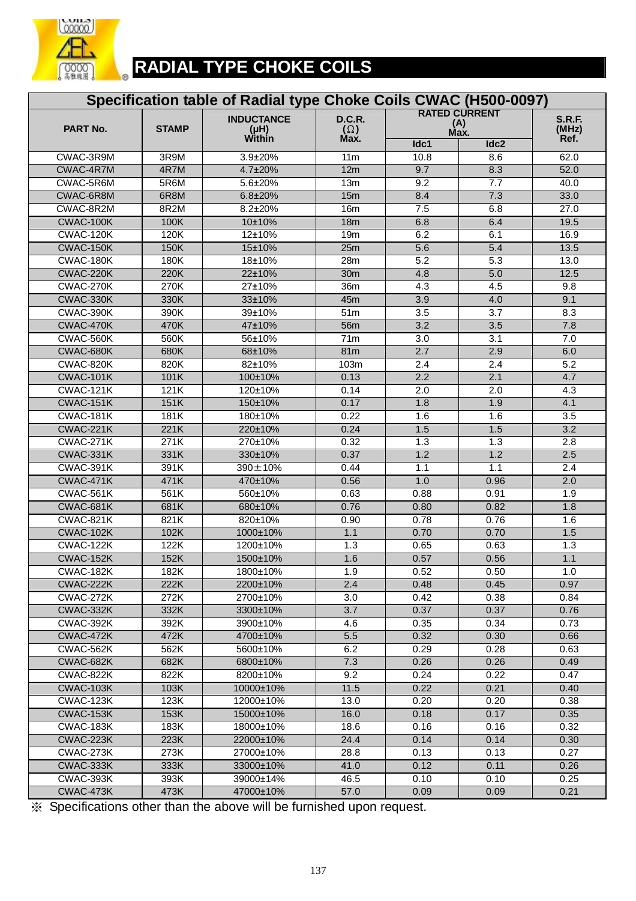

| Specification table of Radial type Choke Coils CWAC (H500-0097) |                    |                   |                  |                      |                  |                   |  |  |
|-----------------------------------------------------------------|--------------------|-------------------|------------------|----------------------|------------------|-------------------|--|--|
|                                                                 |                    | <b>INDUCTANCE</b> | D.C.R.           | <b>RATED CURRENT</b> | <b>S.R.F.</b>    |                   |  |  |
| PART No.                                                        | <b>STAMP</b>       | (HH)              | $(\Omega)$       | (A)<br>Max.          |                  | (MHz)             |  |  |
|                                                                 |                    | Within            | Max.             | Idc1                 | Idc2             | Ref.              |  |  |
| CWAC-3R9M                                                       | 3R9M               | 3.9±20%           | 11 <sub>m</sub>  | 10.8                 | 8.6              | 62.0              |  |  |
| CWAC-4R7M                                                       | 4R7M               | 4.7±20%           | 12m              | 9.7                  | 8.3              | 52.0              |  |  |
| CWAC-5R6M                                                       | 5R6M               | 5.6±20%           | 13m              | 9.2                  | 7.7              | 40.0              |  |  |
| CWAC-6R8M                                                       | 6R8M               | 6.8±20%           | 15m              | 8.4                  | 7.3              | 33.0              |  |  |
| CWAC-8R2M                                                       | 8R2M               | 8.2±20%           | 16 <sub>m</sub>  | 7.5                  | 6.8              | $\overline{27.0}$ |  |  |
| CWAC-100K                                                       | 100K               | 10±10%            | 18m              | 6.8                  | 6.4              | 19.5              |  |  |
| CWAC-120K                                                       | 120K               | 12±10%            | 19 <sub>m</sub>  | 6.2                  | 6.1              | 16.9              |  |  |
| CWAC-150K                                                       | 150K               | 15±10%            | 25m              | 5.6                  | 5.4              | 13.5              |  |  |
| CWAC-180K                                                       | 180K               | 18±10%            | 28m              | 5.2                  | 5.3              | 13.0              |  |  |
| CWAC-220K                                                       | 220K               | 22±10%            | 30 <sub>m</sub>  | 4.8                  | 5.0              | 12.5              |  |  |
| CWAC-270K                                                       | 270K               | 27±10%            | 36m              | 4.3                  | 4.5              | 9.8               |  |  |
| CWAC-330K                                                       | 330K               | 33±10%            | 45m              | 3.9                  | 4.0              | 9.1               |  |  |
| CWAC-390K                                                       | 390K               | 39±10%            | 51m              | 3.5                  | 3.7              | 8.3               |  |  |
| CWAC-470K                                                       | 470K               | 47±10%            | 56m              | 3.2                  | 3.5              | 7.8               |  |  |
| CWAC-560K                                                       | 560K               | 56±10%            | 71m              | $\overline{3.0}$     | $\overline{3.1}$ | 7.0               |  |  |
| CWAC-680K                                                       | 680K               | 68±10%            | 81m              | 2.7                  | 2.9              | 6.0               |  |  |
| CWAC-820K                                                       | 820K               | 82±10%            | 103m             | 2.4                  | 2.4              | 5.2               |  |  |
| <b>CWAC-101K</b>                                                | 101K               | 100±10%           | 0.13             | 2.2                  | 2.1              | 4.7               |  |  |
| CWAC-121K                                                       | 121K               | 120±10%           | 0.14             | 2.0                  | 2.0              | 4.3               |  |  |
| CWAC-151K                                                       | 151K               | 150±10%           | 0.17             | 1.8                  | 1.9              | 4.1               |  |  |
| CWAC-181K                                                       | 181K               | 180±10%           | 0.22             | 1.6                  | 1.6              | 3.5               |  |  |
| <b>CWAC-221K</b>                                                | 221K               | 220±10%           | 0.24             | 1.5                  | 1.5              | $\overline{3.2}$  |  |  |
| CWAC-271K                                                       | 271K               | 270±10%           | 0.32             | 1.3                  | 1.3              | $\overline{2.8}$  |  |  |
| CWAC-331K                                                       | 331K               | 330±10%           | 0.37             | 1.2                  | 1.2              | 2.5               |  |  |
| CWAC-391K                                                       | 391K               | 390±10%           | 0.44             | 1.1                  | 1.1              | 2.4               |  |  |
| CWAC-471K                                                       | 471K               | 470±10%           | 0.56             | 1.0                  | 0.96             | 2.0               |  |  |
| CWAC-561K                                                       | 561K               | 560±10%           | 0.63             | 0.88                 | 0.91             | 1.9               |  |  |
| CWAC-681K                                                       | 681K               | 680±10%           | 0.76             | 0.80                 | 0.82             | 1.8               |  |  |
| CWAC-821K                                                       | 821K               | 820±10%           | 0.90             | 0.78                 | 0.76             | 1.6               |  |  |
| CWAC-102K                                                       | 102K               | 1000±10%          | 1.1              | 0.70                 | 0.70             | 1.5               |  |  |
| CWAC-122K                                                       | 122K               | 1200±10%          | 1.3              | 0.65                 | 0.63             | 1.3               |  |  |
| CWAC-152K                                                       | 152K               | 1500±10%          | 1.6              | 0.57                 | 0.56             | 1.1               |  |  |
| CWAC-182K                                                       | 182K               | 1800±10%          | 1.9              | 0.52                 | 0.50             | 1.0               |  |  |
| CWAC-222K                                                       | 222K               | 2200±10%          | 2.4              | 0.48                 | 0.45             | 0.97              |  |  |
| CWAC-272K                                                       | 272K               | 2700±10%          | 3.0              | 0.42                 | 0.38             | 0.84              |  |  |
| CWAC-332K                                                       | 332K               | 3300±10%          | $\overline{3.7}$ | 0.37                 | 0.37             | 0.76              |  |  |
| CWAC-392K                                                       | 392K               | 3900±10%          | 4.6              | 0.35                 | 0.34             | 0.73              |  |  |
| CWAC-472K                                                       | 472K               | 4700±10%          | 5.5              | 0.32                 | 0.30             | 0.66              |  |  |
| CWAC-562K                                                       | 562K               | 5600±10%          | 6.2              | 0.29                 | 0.28             | 0.63              |  |  |
| CWAC-682K                                                       | 682K               | 6800±10%          | 7.3              | 0.26                 | 0.26             | 0.49              |  |  |
| CWAC-822K                                                       | 822K               | 8200±10%          | 9.2              | 0.24                 | 0.22             | 0.47              |  |  |
| CWAC-103K                                                       | 103K               | 10000±10%         | 11.5             | 0.22                 | 0.21             | 0.40              |  |  |
| CWAC-123K                                                       | 123K               | 12000±10%         | 13.0             | 0.20                 | 0.20             | 0.38              |  |  |
| CWAC-153K                                                       | 153K               | 15000±10%         | 16.0             | 0.18                 | 0.17             | 0.35              |  |  |
| CWAC-183K                                                       | 183K               | 18000±10%         | 18.6             | 0.16                 | 0.16             | 0.32              |  |  |
| CWAC-223K                                                       | 223K               | 22000±10%         | 24.4             | 0.14                 | 0.14             | 0.30              |  |  |
| CWAC-273K                                                       | $\overline{27}$ 3K | 27000±10%         | 28.8             | 0.13                 | 0.13             | 0.27              |  |  |
| CWAC-333K                                                       | 333K               | 33000±10%         | 41.0             | 0.12                 | 0.11             | 0.26              |  |  |
| CWAC-393K                                                       | 393K               | 39000±14%         | 46.5             | 0.10                 | 0.10             | 0.25              |  |  |
| CWAC-473K                                                       | 473K               | 47000±10%         | 57.0             | 0.09                 | 0.09             | 0.21              |  |  |